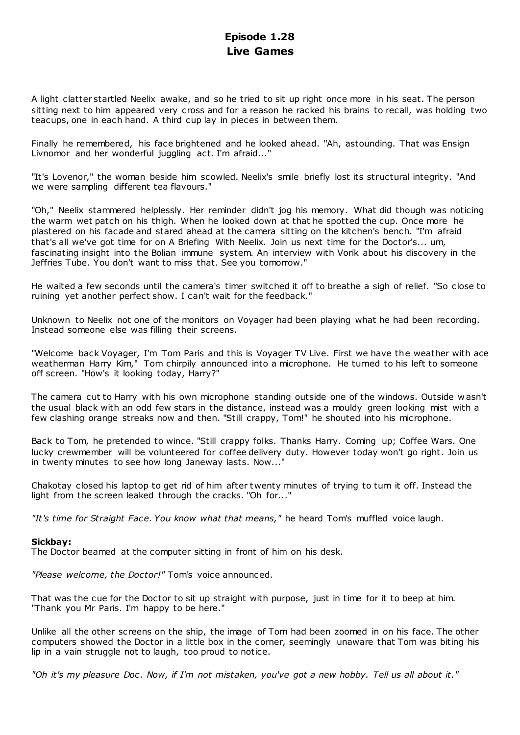# **Episode 1.28 Live Games**

A light clatter startled Neelix awake, and so he tried to sit up right once more in his seat. The person sitting next to him appeared very cross and for a reason he racked his brains to recall, was holding two teacups, one in each hand. A third cup lay in pieces in between them.

Finally he remembered, his face brightened and he looked ahead. "Ah, astounding. That was Ensign Livnomor and her wonderful juggling act. I'm afraid..."

"It's Lovenor," the woman beside him scowled. Neelix's smile briefly lost its structural integrity. "And we were sampling different tea flavours."

"Oh," Neelix stammered helplessly. Her reminder didn't jog his memory. What did though was noticing the warm wet patch on his thigh. When he looked down at that he spotted the cup. Once more he plastered on his facade and stared ahead at the camera sitting on the kitchen's bench. "I'm afraid that's all we've got time for on A Briefing With Neelix. Join us next time for the Doctor's... um, fascinating insight into the Bolian immune system. An interview with Vorik about his discovery in the Jeffries Tube. You don't want to miss that. See you tomorrow."

He waited a few seconds until the camera's timer switched it off to breathe a sigh of relief. "So close to ruining yet another perfect show. I can't wait for the feedback."

Unknown to Neelix not one of the monitors on Voyager had been playing what he had been recording. Instead someone else was filling their screens.

"Welcome back Voyager, I'm Tom Paris and this is Voyager TV Live. First we have the weather with ace weatherman Harry Kim," Tom chirpily announced into a microphone. He turned to his left to someone off screen. "How's it looking today, Harry?"

The camera cut to Harry with his own microphone standing outside one of the windows. Outside w asn't the usual black with an odd few stars in the distance, instead was a mouldy green looking mist with a few clashing orange streaks now and then. "Still crappy, Tom!" he shouted into his microphone.

Back to Tom, he pretended to wince. "Still crappy folks. Thanks Harry. Coming up; Coffee Wars. One lucky crewmember will be volunteered for coffee delivery duty. However today won't go right. Join us in twenty minutes to see how long Janeway lasts. Now..."

Chakotay closed his laptop to get rid of him after twenty minutes of trying to turn it off. Instead the light from the screen leaked through the cracks. "Oh for..."

*"It's time for Straight Face. You know what that means,"* he heard Tom's muffled voice laugh.

# **Sickbay:**

The Doctor beamed at the computer sitting in front of him on his desk.

*"Please welcome, the Doctor!"* Tom's voice announced.

That was the cue for the Doctor to sit up straight with purpose, just in time for it to beep at him. "Thank you Mr Paris. I'm happy to be here."

Unlike all the other screens on the ship, the image of Tom had been zoomed in on his face. The other computers showed the Doctor in a little box in the corner, seemingly unaware that Tom was biting his lip in a vain struggle not to laugh, too proud to notice.

*"Oh it's my pleasure Doc. Now, if I'm not mistaken, you've got a new hobby. Tell us all about it."*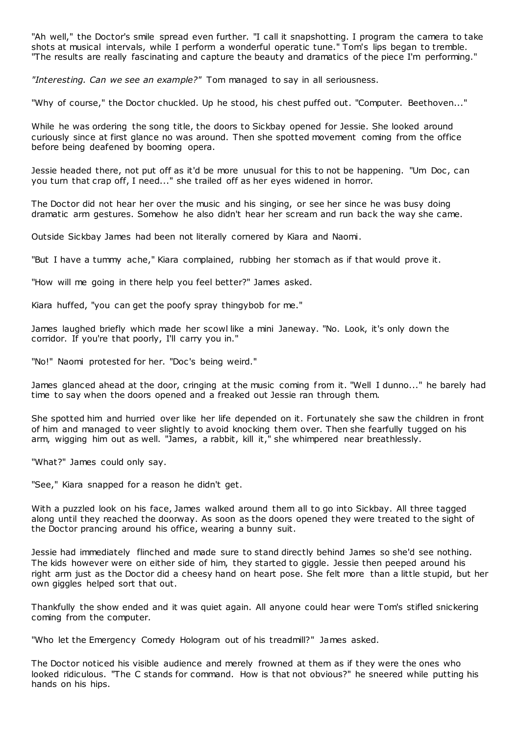"Ah well," the Doctor's smile spread even further. "I call it snapshotting. I program the camera to take shots at musical intervals, while I perform a wonderful operatic tune." Tom's lips began to tremble. "The results are really fascinating and capture the beauty and dramatics of the piece I'm performing."

*"Interesting. Can we see an example?"* Tom managed to say in all seriousness.

"Why of course," the Doctor chuckled. Up he stood, his chest puffed out. "Computer. Beethoven..."

While he was ordering the song title, the doors to Sickbay opened for Jessie. She looked around curiously since at first glance no was around. Then she spotted movement coming from the office before being deafened by booming opera.

Jessie headed there, not put off as it'd be more unusual for this to not be happening. "Um Doc, can you turn that crap off, I need..." she trailed off as her eyes widened in horror.

The Doctor did not hear her over the music and his singing, or see her since he was busy doing dramatic arm gestures. Somehow he also didn't hear her scream and run back the way she came.

Outside Sickbay James had been not literally cornered by Kiara and Naomi.

"But I have a tummy ache," Kiara complained, rubbing her stomach as if that would prove it.

"How will me going in there help you feel better?" James asked.

Kiara huffed, "you can get the poofy spray thingybob for me."

James laughed briefly which made her scowl like a mini Janeway. "No. Look, it's only down the corridor. If you're that poorly, I'll carry you in."

"No!" Naomi protested for her. "Doc's being weird."

James glanced ahead at the door, cringing at the music coming from it. "Well I dunno..." he barely had time to say when the doors opened and a freaked out Jessie ran through them.

She spotted him and hurried over like her life depended on it. Fortunately she saw the children in front of him and managed to veer slightly to avoid knocking them over. Then she fearfully tugged on his arm, wigging him out as well. "James, a rabbit, kill it," she whimpered near breathlessly.

"What?" James could only say.

"See," Kiara snapped for a reason he didn't get.

With a puzzled look on his face, James walked around them all to go into Sickbay. All three tagged along until they reached the doorway. As soon as the doors opened they were treated to the sight of the Doctor prancing around his office, wearing a bunny suit.

Jessie had immediately flinched and made sure to stand directly behind James so she'd see nothing. The kids however were on either side of him, they started to giggle. Jessie then peeped around his right arm just as the Doctor did a cheesy hand on heart pose. She felt more than a little stupid, but her own giggles helped sort that out.

Thankfully the show ended and it was quiet again. All anyone could hear were Tom's stifled snickering coming from the computer.

"Who let the Emergency Comedy Hologram out of his treadmill?" James asked.

The Doctor noticed his visible audience and merely frowned at them as if they were the ones who looked ridiculous. "The C stands for command. How is that not obvious?" he sneered while putting his hands on his hips.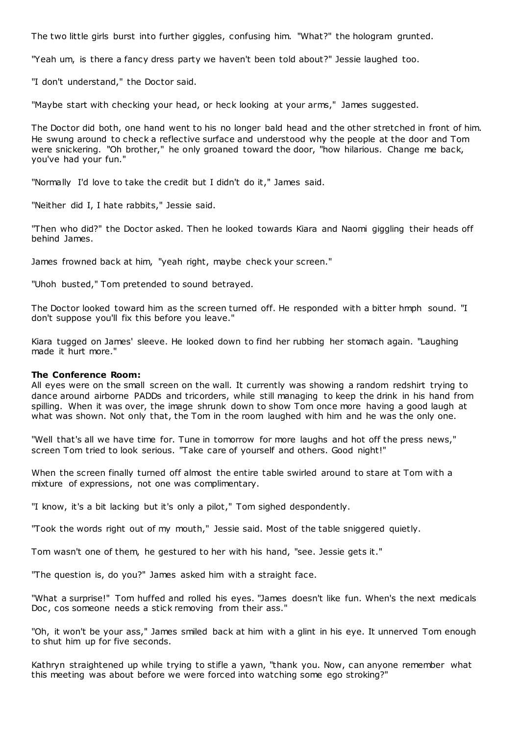The two little girls burst into further giggles, confusing him. "What?" the hologram grunted.

"Yeah um, is there a fancy dress party we haven't been told about?" Jessie laughed too.

"I don't understand," the Doctor said.

"Maybe start with checking your head, or heck looking at your arms," James suggested.

The Doctor did both, one hand went to his no longer bald head and the other stretched in front of him. He swung around to check a reflective surface and understood why the people at the door and Tom were snickering. "Oh brother," he only groaned toward the door, "how hilarious. Change me back, you've had your fun."

"Normally I'd love to take the credit but I didn't do it," James said.

"Neither did I, I hate rabbits," Jessie said.

"Then who did?" the Doctor asked. Then he looked towards Kiara and Naomi giggling their heads off behind James.

James frowned back at him, "yeah right, maybe check your screen."

"Uhoh busted," Tom pretended to sound betrayed.

The Doctor looked toward him as the screen turned off. He responded with a bitter hmph sound. "I don't suppose you'll fix this before you leave."

Kiara tugged on James' sleeve. He looked down to find her rubbing her stomach again. "Laughing made it hurt more."

#### **The Conference Room:**

All eyes were on the small screen on the wall. It currently was showing a random redshirt trying to dance around airborne PADDs and tricorders, while still managing to keep the drink in his hand from spilling. When it was over, the image shrunk down to show Tom once more having a good laugh at what was shown. Not only that, the Tom in the room laughed with him and he was the only one.

"Well that's all we have time for. Tune in tomorrow for more laughs and hot off the press news," screen Tom tried to look serious. "Take care of yourself and others. Good night!"

When the screen finally turned off almost the entire table swirled around to stare at Tom with a mixture of expressions, not one was complimentary.

"I know, it's a bit lacking but it's only a pilot," Tom sighed despondently.

"Took the words right out of my mouth," Jessie said. Most of the table sniggered quietly.

Tom wasn't one of them, he gestured to her with his hand, "see. Jessie gets it."

"The question is, do you?" James asked him with a straight face.

"What a surprise!" Tom huffed and rolled his eyes. "James doesn't like fun. When's the next medicals Doc, cos someone needs a stick removing from their ass."

"Oh, it won't be your ass," James smiled back at him with a glint in his eye. It unnerved Tom enough to shut him up for five seconds.

Kathryn straightened up while trying to stifle a yawn, "thank you. Now, can anyone remember what this meeting was about before we were forced into watching some ego stroking?"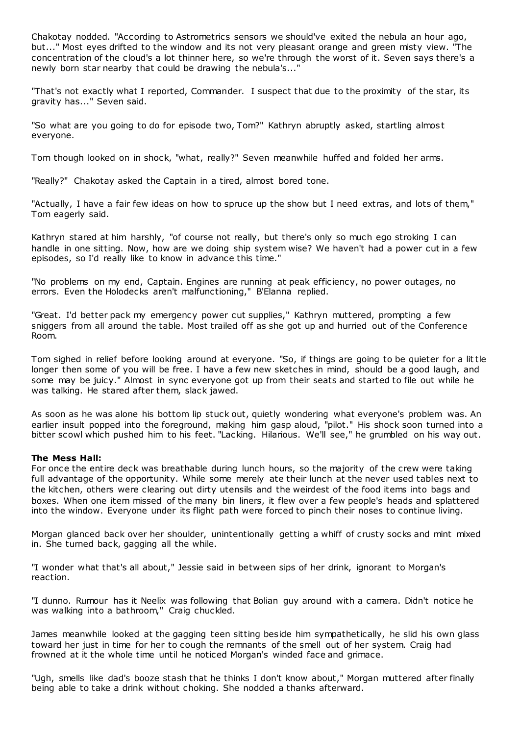Chakotay nodded. "According to Astrometrics sensors we should've exited the nebula an hour ago, but..." Most eyes drifted to the window and its not very pleasant orange and green misty view. "The concentration of the cloud's a lot thinner here, so we're through the worst of it. Seven says there's a newly born star nearby that could be drawing the nebula's...'

"That's not exactly what I reported, Commander. I suspect that due to the proximity of the star, its gravity has..." Seven said.

"So what are you going to do for episode two, Tom?" Kathryn abruptly asked, startling almos t everyone.

Tom though looked on in shock, "what, really?" Seven meanwhile huffed and folded her arms.

"Really?" Chakotay asked the Captain in a tired, almost bored tone.

"Actually, I have a fair few ideas on how to spruce up the show but I need extras, and lots of them," Tom eagerly said.

Kathryn stared at him harshly, "of course not really, but there's only so much ego stroking I can handle in one sitting. Now, how are we doing ship system wise? We haven't had a power cut in a few episodes, so I'd really like to know in advance this time."

"No problems on my end, Captain. Engines are running at peak efficiency, no power outages, no errors. Even the Holodecks aren't malfunctioning," B'Elanna replied.

"Great. I'd better pack my emergency power cut supplies," Kathryn muttered, prompting a few sniggers from all around the table. Most trailed off as she got up and hurried out of the Conference Room.

Tom sighed in relief before looking around at everyone. "So, if things are going to be quieter for a little longer then some of you will be free. I have a few new sketches in mind, should be a good laugh, and some may be juicy." Almost in sync everyone got up from their seats and started to file out while he was talking. He stared after them, slack jawed.

As soon as he was alone his bottom lip stuck out, quietly wondering what everyone's problem was. An earlier insult popped into the foreground, making him gasp aloud, "pilot." His shock soon turned into a bitter scowl which pushed him to his feet. "Lacking. Hilarious. We'll see," he grumbled on his way out.

## **The Mess Hall:**

For once the entire deck was breathable during lunch hours, so the majority of the crew were taking full advantage of the opportunity. While some merely ate their lunch at the never used tables next to the kitchen, others were clearing out dirty utensils and the weirdest of the food items into bags and boxes. When one item missed of the many bin liners, it flew over a few people's heads and splattered into the window. Everyone under its flight path were forced to pinch their noses to continue living.

Morgan glanced back over her shoulder, unintentionally getting a whiff of crusty socks and mint mixed in. She turned back, gagging all the while.

"I wonder what that's all about," Jessie said in between sips of her drink, ignorant to Morgan's reaction.

"I dunno. Rumour has it Neelix was following that Bolian guy around with a camera. Didn't notice he was walking into a bathroom," Craig chuckled.

James meanwhile looked at the gagging teen sitting beside him sympathetically, he slid his own glass toward her just in time for her to cough the remnants of the smell out of her system. Craig had frowned at it the whole time until he noticed Morgan's winded face and grimace.

"Ugh, smells like dad's booze stash that he thinks I don't know about," Morgan muttered after finally being able to take a drink without choking. She nodded a thanks afterward.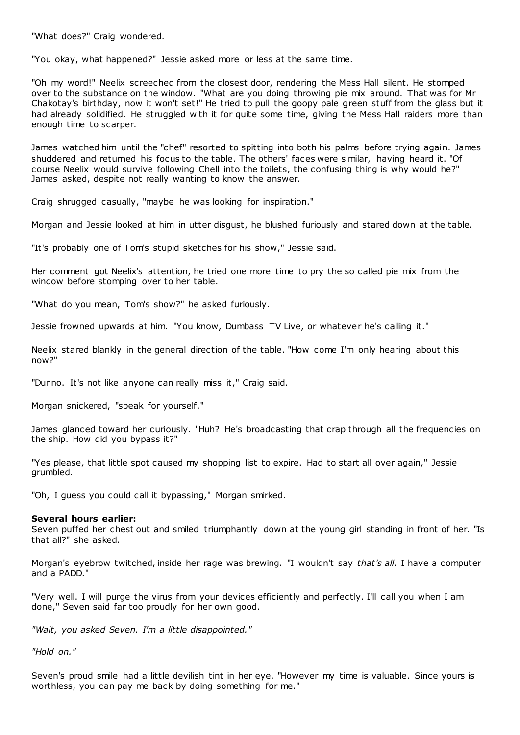"What does?" Craig wondered.

"You okay, what happened?" Jessie asked more or less at the same time.

"Oh my word!" Neelix screeched from the closest door, rendering the Mess Hall silent. He stomped over to the substance on the window. "What are you doing throwing pie mix around. That was for Mr Chakotay's birthday, now it won't set!" He tried to pull the goopy pale green stuff from the glass but it had already solidified. He struggled with it for quite some time, giving the Mess Hall raiders more than enough time to scarper.

James watched him until the "chef" resorted to spitting into both his palms before trying again. James shuddered and returned his focus to the table. The others' faces were similar, having heard it. "Of course Neelix would survive following Chell into the toilets, the confusing thing is why would he?" James asked, despite not really wanting to know the answer.

Craig shrugged casually, "maybe he was looking for inspiration."

Morgan and Jessie looked at him in utter disgust, he blushed furiously and stared down at the table.

"It's probably one of Tom's stupid sketches for his show," Jessie said.

Her comment got Neelix's attention, he tried one more time to pry the so called pie mix from the window before stomping over to her table.

"What do you mean, Tom's show?" he asked furiously.

Jessie frowned upwards at him. "You know, Dumbass TV Live, or whatever he's calling it."

Neelix stared blankly in the general direction of the table. "How come I'm only hearing about this now?"

"Dunno. It's not like anyone can really miss it," Craig said.

Morgan snickered, "speak for yourself."

James glanced toward her curiously. "Huh? He's broadcasting that crap through all the frequencies on the ship. How did you bypass it?"

"Yes please, that little spot caused my shopping list to expire. Had to start all over again," Jessie grumbled.

"Oh, I guess you could call it bypassing," Morgan smirked.

#### **Several hours earlier:**

Seven puffed her chest out and smiled triumphantly down at the young girl standing in front of her. "Is that all?" she asked.

Morgan's eyebrow twitched, inside her rage was brewing. "I wouldn't say *that's all*. I have a computer and a PADD."

"Very well. I will purge the virus from your devices efficiently and perfectly. I'll call you when I am done," Seven said far too proudly for her own good.

*"Wait, you asked Seven. I'm a little disappointed."*

*"Hold on."*

Seven's proud smile had a little devilish tint in her eye. "However my time is valuable. Since yours is worthless, you can pay me back by doing something for me."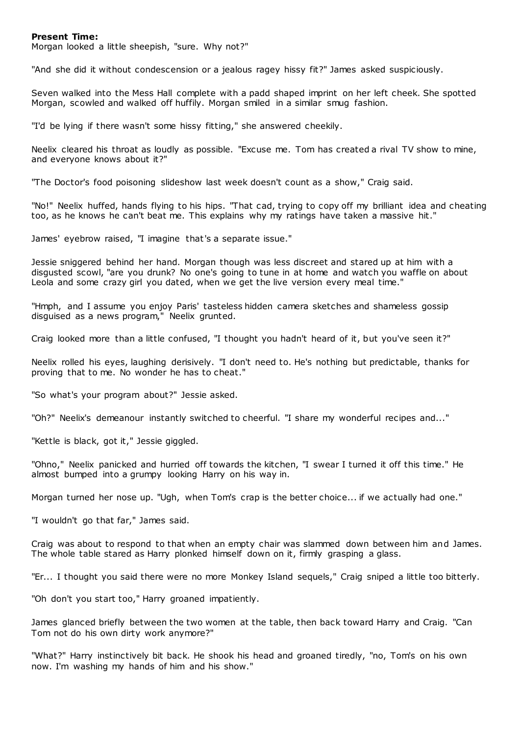#### **Present Time:**

Morgan looked a little sheepish, "sure. Why not?"

"And she did it without condescension or a jealous ragey hissy fit?" James asked suspiciously.

Seven walked into the Mess Hall complete with a padd shaped imprint on her left cheek. She spotted Morgan, scowled and walked off huffily. Morgan smiled in a similar smug fashion.

"I'd be lying if there wasn't some hissy fitting," she answered cheekily.

Neelix cleared his throat as loudly as possible. "Excuse me. Tom has created a rival TV show to mine, and everyone knows about it?"

"The Doctor's food poisoning slideshow last week doesn't count as a show," Craig said.

"No!" Neelix huffed, hands flying to his hips. "That cad, trying to copy off my brilliant idea and cheating too, as he knows he can't beat me. This explains why my ratings have taken a massive hit."

James' eyebrow raised, "I imagine that's a separate issue."

Jessie sniggered behind her hand. Morgan though was less discreet and stared up at him with a disgusted scowl, "are you drunk? No one's going to tune in at home and watch you waffle on about Leola and some crazy girl you dated, when we get the live version every meal time."

"Hmph, and I assume you enjoy Paris' tasteless hidden camera sketches and shameless gossip disguised as a news program," Neelix grunted.

Craig looked more than a little confused, "I thought you hadn't heard of it, but you've seen it?"

Neelix rolled his eyes, laughing derisively. "I don't need to. He's nothing but predictable, thanks for proving that to me. No wonder he has to cheat."

"So what's your program about?" Jessie asked.

"Oh?" Neelix's demeanour instantly switched to cheerful. "I share my wonderful recipes and..."

"Kettle is black, got it," Jessie giggled.

"Ohno," Neelix panicked and hurried off towards the kitchen, "I swear I turned it off this time." He almost bumped into a grumpy looking Harry on his way in.

Morgan turned her nose up. "Ugh, when Tom's crap is the better choice... if we actually had one."

"I wouldn't go that far," James said.

Craig was about to respond to that when an empty chair was slammed down between him and James. The whole table stared as Harry plonked himself down on it, firmly grasping a glass.

"Er... I thought you said there were no more Monkey Island sequels," Craig sniped a little too bitterly.

"Oh don't you start too," Harry groaned impatiently.

James glanced briefly between the two women at the table, then back toward Harry and Craig. "Can Tom not do his own dirty work anymore?"

"What?" Harry instinctively bit back. He shook his head and groaned tiredly, "no, Tom's on his own now. I'm washing my hands of him and his show."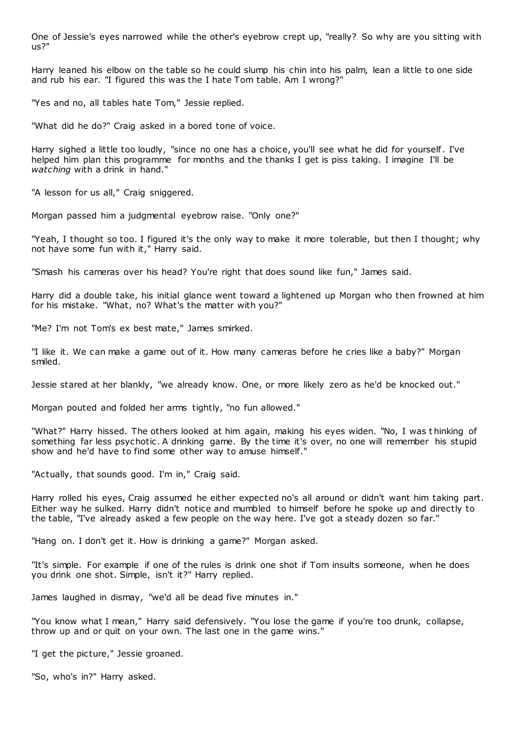One of Jessie's eyes narrowed while the other's eyebrow crept up, "really? So why are you sitting with us?"

Harry leaned his elbow on the table so he could slump his chin into his palm, lean a little to one side and rub his ear. "I figured this was the I hate Tom table. Am I wrong?"

"Yes and no, all tables hate Tom," Jessie replied.

"What did he do?" Craig asked in a bored tone of voice.

Harry sighed a little too loudly, "since no one has a choice, you'll see what he did for yourself. I've helped him plan this programme for months and the thanks I get is piss taking. I imagine I'll be *watching* with a drink in hand."

"A lesson for us all," Craig sniggered.

Morgan passed him a judgmental eyebrow raise. "Only one?"

"Yeah, I thought so too. I figured it's the only way to make it more tolerable, but then I thought; why not have some fun with it," Harry said.

"Smash his cameras over his head? You're right that does sound like fun," James said.

Harry did a double take, his initial glance went toward a lightened up Morgan who then frowned at him for his mistake. "What, no? What's the matter with you?"

"Me? I'm not Tom's ex best mate," James smirked.

"I like it. We can make a game out of it. How many cameras before he cries like a baby?" Morgan smiled.

Jessie stared at her blankly, "we already know. One, or more likely zero as he'd be knocked out."

Morgan pouted and folded her arms tightly, "no fun allowed."

"What?" Harry hissed. The others looked at him again, making his eyes widen. "No, I was t hinking of something far less psychotic . A drinking game. By the time it's over, no one will remember his stupid show and he'd have to find some other way to amuse himself."

"Actually, that sounds good. I'm in," Craig said.

Harry rolled his eyes, Craig assumed he either expected no's all around or didn't want him taking part. Either way he sulked. Harry didn't notice and mumbled to himself before he spoke up and directly to the table, "I've already asked a few people on the way here. I've got a steady dozen so far."

"Hang on. I don't get it. How is drinking a game?" Morgan asked.

"It's simple. For example if one of the rules is drink one shot if Tom insults someone, when he does you drink one shot. Simple, isn't it?" Harry replied.

James laughed in dismay, "we'd all be dead five minutes in."

"You know what I mean," Harry said defensively. "You lose the game if you're too drunk, collapse, throw up and or quit on your own. The last one in the game wins."

"I get the picture," Jessie groaned.

"So, who's in?" Harry asked.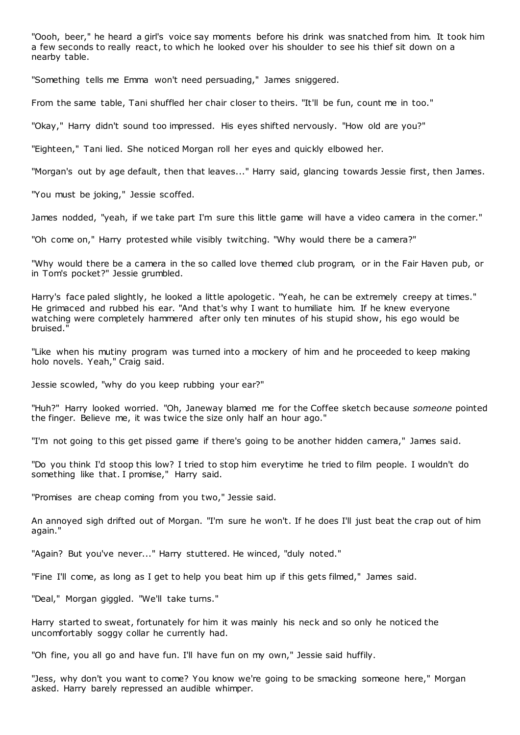"Oooh, beer," he heard a girl's voice say moments before his drink was snatched from him. It took him a few seconds to really react, to which he looked over his shoulder to see his thief sit down on a nearby table.

"Something tells me Emma won't need persuading," James sniggered.

From the same table, Tani shuffled her chair closer to theirs. "It'll be fun, count me in too."

"Okay," Harry didn't sound too impressed. His eyes shifted nervously. "How old are you?"

"Eighteen," Tani lied. She noticed Morgan roll her eyes and quickly elbowed her.

"Morgan's out by age default, then that leaves..." Harry said, glancing towards Jessie first, then James.

"You must be joking," Jessie scoffed.

James nodded, "yeah, if we take part I'm sure this little game will have a video camera in the corner."

"Oh come on," Harry protested while visibly twitching. "Why would there be a camera?"

"Why would there be a camera in the so called love themed club program, or in the Fair Haven pub, or in Tom's pocket?" Jessie grumbled.

Harry's face paled slightly, he looked a little apologetic. "Yeah, he can be extremely creepy at times." He grimaced and rubbed his ear. "And that's why I want to humiliate him. If he knew everyone watching were completely hammered after only ten minutes of his stupid show, his ego would be bruised."

"Like when his mutiny program was turned into a mockery of him and he proceeded to keep making holo novels. Yeah," Craig said.

Jessie scowled, "why do you keep rubbing your ear?"

"Huh?" Harry looked worried. "Oh, Janeway blamed me for the Coffee sketch because *someone* pointed the finger. Believe me, it was twice the size only half an hour ago."

"I'm not going to this get pissed game if there's going to be another hidden camera," James said.

"Do you think I'd stoop this low? I tried to stop him everytime he tried to film people. I wouldn't do something like that. I promise," Harry said.

"Promises are cheap coming from you two," Jessie said.

An annoyed sigh drifted out of Morgan. "I'm sure he won't. If he does I'll just beat the crap out of him again."

"Again? But you've never..." Harry stuttered. He winced, "duly noted."

"Fine I'll come, as long as I get to help you beat him up if this gets filmed," James said.

"Deal," Morgan giggled. "We'll take turns."

Harry started to sweat, fortunately for him it was mainly his neck and so only he noticed the uncomfortably soggy collar he currently had.

"Oh fine, you all go and have fun. I'll have fun on my own," Jessie said huffily.

"Jess, why don't you want to come? You know we're going to be smacking someone here," Morgan asked. Harry barely repressed an audible whimper.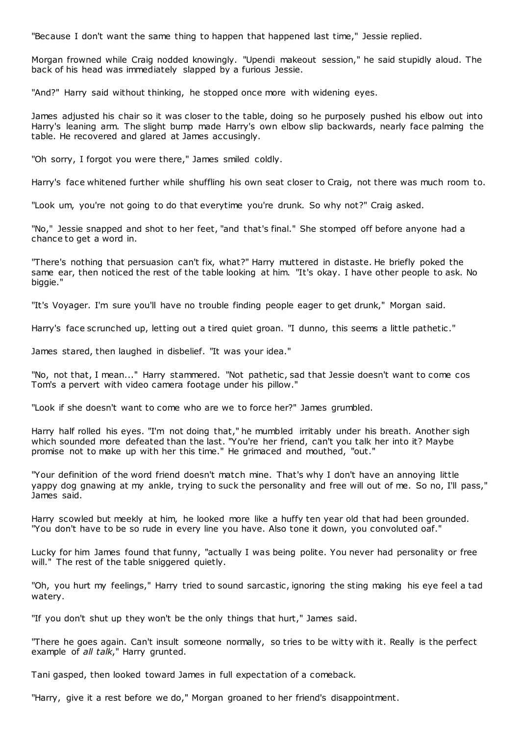"Because I don't want the same thing to happen that happened last time," Jessie replied.

Morgan frowned while Craig nodded knowingly. "Upendi makeout session," he said stupidly aloud. The back of his head was immediately slapped by a furious Jessie.

"And?" Harry said without thinking, he stopped once more with widening eyes.

James adjusted his chair so it was closer to the table, doing so he purposely pushed his elbow out into Harry's leaning arm. The slight bump made Harry's own elbow slip backwards, nearly face palming the table. He recovered and glared at James accusingly.

"Oh sorry, I forgot you were there," James smiled coldly.

Harry's face whitened further while shuffling his own seat closer to Craig, not there was much room to.

"Look um, you're not going to do that everytime you're drunk. So why not?" Craig asked.

"No," Jessie snapped and shot to her feet, "and that's final." She stomped off before anyone had a chance to get a word in.

"There's nothing that persuasion can't fix, what?" Harry muttered in distaste. He briefly poked the same ear, then noticed the rest of the table looking at him. "It's okay. I have other people to ask. No biggie."

"It's Voyager. I'm sure you'll have no trouble finding people eager to get drunk," Morgan said.

Harry's face scrunched up, letting out a tired quiet groan. "I dunno, this seems a little pathetic."

James stared, then laughed in disbelief. "It was your idea."

"No, not that, I mean..." Harry stammered. "Not pathetic, sad that Jessie doesn't want to come cos Tom's a pervert with video camera footage under his pillow."

"Look if she doesn't want to come who are we to force her?" James grumbled.

Harry half rolled his eyes. "I'm not doing that," he mumbled irritably under his breath. Another sigh which sounded more defeated than the last. "You're her friend, can't you talk her into it? Maybe promise not to make up with her this time." He grimaced and mouthed, "out."

"Your definition of the word friend doesn't match mine. That's why I don't have an annoying little yappy dog gnawing at my ankle, trying to suck the personality and free will out of me. So no, I'll pass," James said.

Harry scowled but meekly at him, he looked more like a huffy ten year old that had been grounded. "You don't have to be so rude in every line you have. Also tone it down, you convoluted oaf."

Lucky for him James found that funny, "actually I was being polite. You never had personality or free will." The rest of the table sniggered quietly.

"Oh, you hurt my feelings," Harry tried to sound sarcastic , ignoring the sting making his eye feel a tad watery.

"If you don't shut up they won't be the only things that hurt," James said.

"There he goes again. Can't insult someone normally, so tries to be witty with it. Really is the perfect example of *all talk*," Harry grunted.

Tani gasped, then looked toward James in full expectation of a comeback.

"Harry, give it a rest before we do," Morgan groaned to her friend's disappointment.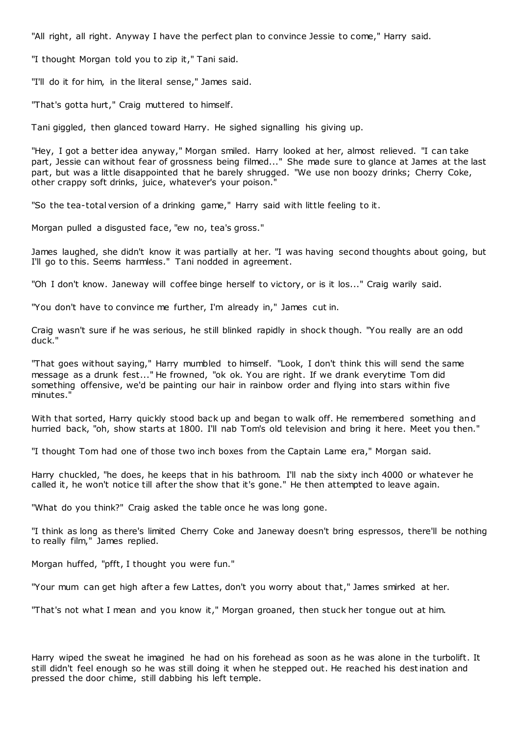"All right, all right. Anyway I have the perfect plan to convince Jessie to come," Harry said.

"I thought Morgan told you to zip it," Tani said.

"I'll do it for him, in the literal sense," James said.

"That's gotta hurt," Craig muttered to himself.

Tani giggled, then glanced toward Harry. He sighed signalling his giving up.

"Hey, I got a better idea anyway," Morgan smiled. Harry looked at her, almost relieved. "I can take part, Jessie can without fear of grossness being filmed..." She made sure to glance at James at the last part, but was a little disappointed that he barely shrugged. "We use non boozy drinks; Cherry Coke, other crappy soft drinks, juice, whatever's your poison."

"So the tea-total version of a drinking game," Harry said with little feeling to it.

Morgan pulled a disgusted face, "ew no, tea's gross."

James laughed, she didn't know it was partially at her. "I was having second thoughts about going, but I'll go to this. Seems harmless." Tani nodded in agreement.

"Oh I don't know. Janeway will coffee binge herself to victory, or is it los..." Craig warily said.

"You don't have to convince me further, I'm already in," James cut in.

Craig wasn't sure if he was serious, he still blinked rapidly in shock though. "You really are an odd duck."

"That goes without saying," Harry mumbled to himself. "Look, I don't think this will send the same message as a drunk fest..." He frowned, "ok ok. You are right. If we drank everytime Tom did something offensive, we'd be painting our hair in rainbow order and flying into stars within five minutes."

With that sorted, Harry quickly stood back up and began to walk off. He remembered something and hurried back, "oh, show starts at 1800. I'll nab Tom's old television and bring it here. Meet you then."

"I thought Tom had one of those two inch boxes from the Captain Lame era," Morgan said.

Harry chuckled, "he does, he keeps that in his bathroom. I'll nab the sixty inch 4000 or whatever he called it, he won't notice till after the show that it's gone." He then attempted to leave again.

"What do you think?" Craig asked the table once he was long gone.

"I think as long as there's limited Cherry Coke and Janeway doesn't bring espressos, there'll be nothing to really film," James replied.

Morgan huffed, "pfft, I thought you were fun."

"Your mum can get high after a few Lattes, don't you worry about that," James smirked at her.

"That's not what I mean and you know it," Morgan groaned, then stuck her tongue out at him.

Harry wiped the sweat he imagined he had on his forehead as soon as he was alone in the turbolift. It still didn't feel enough so he was still doing it when he stepped out. He reached his destination and pressed the door chime, still dabbing his left temple.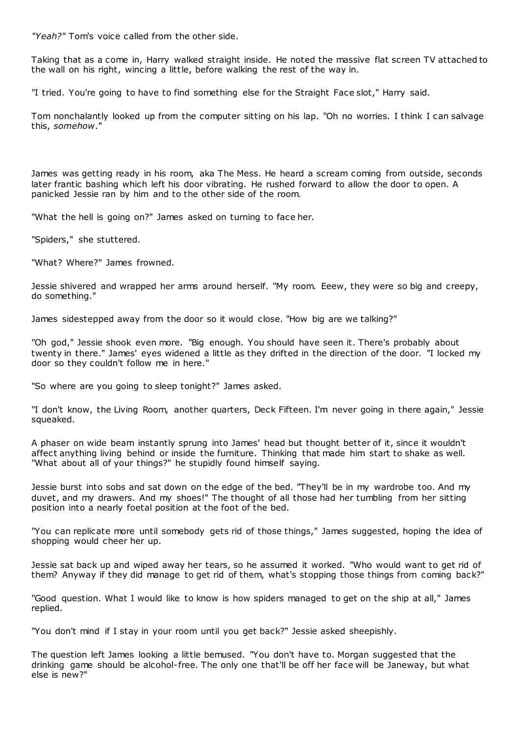*"Yeah?"* Tom's voice called from the other side.

Taking that as a come in, Harry walked straight inside. He noted the massive flat screen TV attached to the wall on his right, wincing a little, before walking the rest of the way in.

"I tried. You're going to have to find something else for the Straight Face slot," Harry said.

Tom nonchalantly looked up from the computer sitting on his lap. "Oh no worries. I think I can salvage this, *somehow*."

James was getting ready in his room, aka The Mess. He heard a scream coming from outside, seconds later frantic bashing which left his door vibrating. He rushed forward to allow the door to open. A panicked Jessie ran by him and to the other side of the room.

"What the hell is going on?" James asked on turning to face her.

"Spiders," she stuttered.

"What? Where?" James frowned.

Jessie shivered and wrapped her arms around herself. "My room. Eeew, they were so big and creepy, do something."

James sidestepped away from the door so it would close. "How big are we talking?"

"Oh god," Jessie shook even more. "Big enough. You should have seen it. There's probably about twenty in there." James' eyes widened a little as they drifted in the direction of the door. "I locked my door so they couldn't follow me in here."

"So where are you going to sleep tonight?" James asked.

"I don't know, the Living Room, another quarters, Deck Fifteen. I'm never going in there again," Jessie squeaked.

A phaser on wide beam instantly sprung into James' head but thought better of it, since it wouldn't affect anything living behind or inside the furniture. Thinking that made him start to shake as well. "What about all of your things?" he stupidly found himself saying.

Jessie burst into sobs and sat down on the edge of the bed. "They'll be in my wardrobe too. And my duvet, and my drawers. And my shoes!" The thought of all those had her tumbling from her sitting position into a nearly foetal position at the foot of the bed.

"You can replicate more until somebody gets rid of those things," James suggested, hoping the idea of shopping would cheer her up.

Jessie sat back up and wiped away her tears, so he assumed it worked. "Who would want to get rid of them? Anyway if they did manage to get rid of them, what's stopping those things from coming back?"

"Good question. What I would like to know is how spiders managed to get on the ship at all," James replied.

"You don't mind if I stay in your room until you get back?" Jessie asked sheepishly.

The question left James looking a little bemused. "You don't have to. Morgan suggested that the drinking game should be alcohol-free. The only one that'll be off her face will be Janeway, but what else is new?"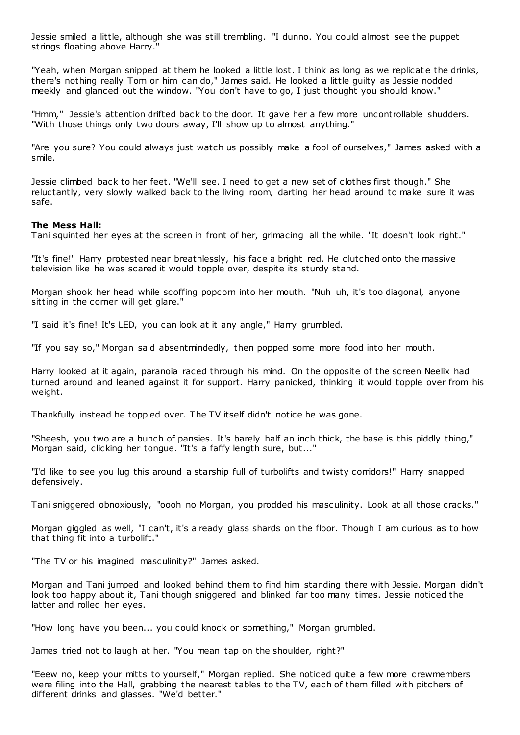Jessie smiled a little, although she was still trembling. "I dunno. You could almost see the puppet strings floating above Harry."

"Yeah, when Morgan snipped at them he looked a little lost. I think as long as we replicat e the drinks, there's nothing really Tom or him can do," James said. He looked a little guilty as Jessie nodded meekly and glanced out the window. "You don't have to go, I just thought you should know."

"Hmm," Jessie's attention drifted back to the door. It gave her a few more uncontrollable shudders. "With those things only two doors away, I'll show up to almost anything."

"Are you sure? You could always just watch us possibly make a fool of ourselves," James asked with a smile.

Jessie climbed back to her feet. "We'll see. I need to get a new set of clothes first though." She reluctantly, very slowly walked back to the living room, darting her head around to make sure it was safe.

#### **The Mess Hall:**

Tani squinted her eyes at the screen in front of her, grimacing all the while. "It doesn't look right."

"It's fine!" Harry protested near breathlessly, his face a bright red. He clutched onto the massive television like he was scared it would topple over, despite its sturdy stand.

Morgan shook her head while scoffing popcorn into her mouth. "Nuh uh, it's too diagonal, anyone sitting in the corner will get glare."

"I said it's fine! It's LED, you can look at it any angle," Harry grumbled.

"If you say so," Morgan said absentmindedly, then popped some more food into her mouth.

Harry looked at it again, paranoia raced through his mind. On the opposite of the screen Neelix had turned around and leaned against it for support. Harry panicked, thinking it would topple over from his weight.

Thankfully instead he toppled over. The TV itself didn't notice he was gone.

"Sheesh, you two are a bunch of pansies. It's barely half an inch thick, the base is this piddly thing," Morgan said, clicking her tongue. "It's a faffy length sure, but..."

"I'd like to see you lug this around a starship full of turbolifts and twisty corridors!" Harry snapped defensively.

Tani sniggered obnoxiously, "oooh no Morgan, you prodded his masculinity. Look at all those cracks."

Morgan giggled as well, "I can't, it's already glass shards on the floor. Though I am curious as to how that thing fit into a turbolift."

"The TV or his imagined masculinity?" James asked.

Morgan and Tani jumped and looked behind them to find him standing there with Jessie. Morgan didn't look too happy about it, Tani though sniggered and blinked far too many times. Jessie noticed the latter and rolled her eyes.

"How long have you been... you could knock or something," Morgan grumbled.

James tried not to laugh at her. "You mean tap on the shoulder, right?"

"Eeew no, keep your mitts to yourself," Morgan replied. She noticed quite a few more crewmembers were filing into the Hall, grabbing the nearest tables to the TV, each of them filled with pitchers of different drinks and glasses. "We'd better."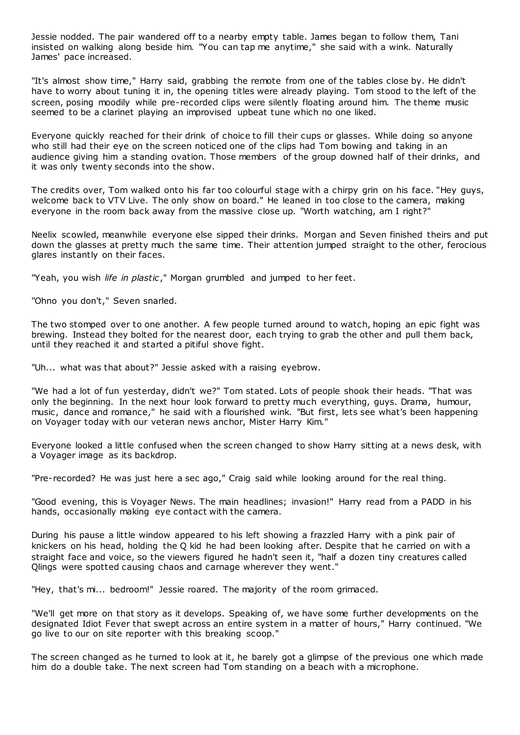Jessie nodded. The pair wandered off to a nearby empty table. James began to follow them, Tani insisted on walking along beside him. "You can tap me anytime," she said with a wink. Naturally James' pace increased.

"It's almost show time," Harry said, grabbing the remote from one of the tables close by. He didn't have to worry about tuning it in, the opening titles were already playing. Tom stood to the left of the screen, posing moodily while pre-recorded clips were silently floating around him. The theme music seemed to be a clarinet playing an improvised upbeat tune which no one liked.

Everyone quickly reached for their drink of choice to fill their cups or glasses. While doing so anyone who still had their eye on the screen noticed one of the clips had Tom bowing and taking in an audience giving him a standing ovation. Those members of the group downed half of their drinks, and it was only twenty seconds into the show.

The credits over, Tom walked onto his far too colourful stage with a chirpy grin on his face. "Hey guys, welcome back to VTV Live. The only show on board." He leaned in too close to the camera, making everyone in the room back away from the massive close up. "Worth watching, am I right?"

Neelix scowled, meanwhile everyone else sipped their drinks. Morgan and Seven finished theirs and put down the glasses at pretty much the same time. Their attention jumped straight to the other, ferocious glares instantly on their faces.

"Yeah, you wish *life in plastic*," Morgan grumbled and jumped to her feet.

"Ohno you don't," Seven snarled.

The two stomped over to one another. A few people turned around to watch, hoping an epic fight was brewing. Instead they bolted for the nearest door, each trying to grab the other and pull them back, until they reached it and started a pitiful shove fight.

"Uh... what was that about?" Jessie asked with a raising eyebrow.

"We had a lot of fun yesterday, didn't we?" Tom stated. Lots of people shook their heads. "That was only the beginning. In the next hour look forward to pretty much everything, guys. Drama, humour, music, dance and romance," he said with a flourished wink. "But first, lets see what's been happening on Voyager today with our veteran news anchor, Mister Harry Kim."

Everyone looked a little confused when the screen changed to show Harry sitting at a news desk, with a Voyager image as its backdrop.

"Pre-recorded? He was just here a sec ago," Craig said while looking around for the real thing.

"Good evening, this is Voyager News. The main headlines; invasion!" Harry read from a PADD in his hands, occasionally making eye contact with the camera.

During his pause a little window appeared to his left showing a frazzled Harry with a pink pair of knickers on his head, holding the Q kid he had been looking after. Despite that he carried on with a straight face and voice, so the viewers figured he hadn't seen it, "half a dozen tiny creatures called Qlings were spotted causing chaos and carnage wherever they went."

"Hey, that's mi... bedroom!" Jessie roared. The majority of the room grimaced.

"We'll get more on that story as it develops. Speaking of, we have some further developments on the designated Idiot Fever that swept across an entire system in a matter of hours," Harry continued. "We go live to our on site reporter with this breaking scoop."

The screen changed as he turned to look at it, he barely got a glimpse of the previous one which made him do a double take. The next screen had Tom standing on a beach with a microphone.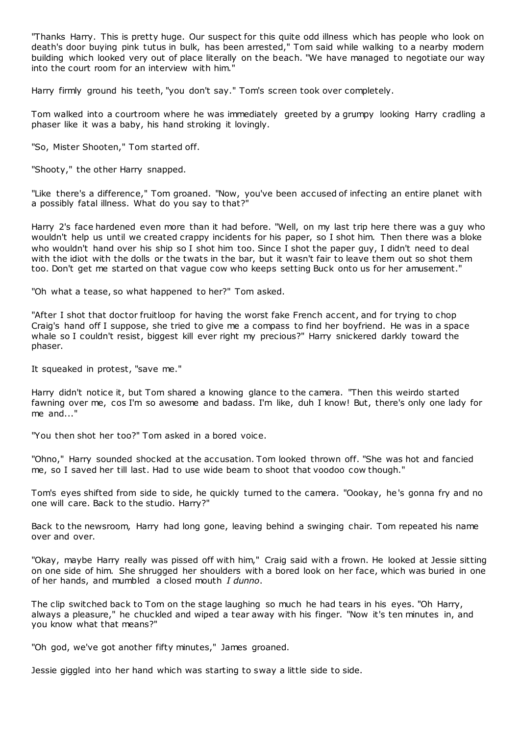"Thanks Harry. This is pretty huge. Our suspect for this quite odd illness which has people who look on death's door buying pink tutus in bulk, has been arrested," Tom said while walking to a nearby modern building which looked very out of place literally on the beach. "We have managed to negotiate our way into the court room for an interview with him."

Harry firmly ground his teeth, "you don't say." Tom's screen took over completely.

Tom walked into a courtroom where he was immediately greeted by a grumpy looking Harry cradling a phaser like it was a baby, his hand stroking it lovingly.

"So, Mister Shooten," Tom started off.

"Shooty," the other Harry snapped.

"Like there's a difference," Tom groaned. "Now, you've been accused of infecting an entire planet with a possibly fatal illness. What do you say to that?"

Harry 2's face hardened even more than it had before. "Well, on my last trip here there was a guy who wouldn't help us until we created crappy incidents for his paper, so I shot him. Then there was a bloke who wouldn't hand over his ship so I shot him too. Since I shot the paper guy, I didn't need to deal with the idiot with the dolls or the twats in the bar, but it wasn't fair to leave them out so shot them too. Don't get me started on that vague cow who keeps setting Buck onto us for her amusement."

"Oh what a tease, so what happened to her?" Tom asked.

"After I shot that doctor fruitloop for having the worst fake French accent, and for trying to chop Craig's hand off I suppose, she tried to give me a compass to find her boyfriend. He was in a space whale so I couldn't resist, biggest kill ever right my precious?" Harry snickered darkly toward the phaser.

It squeaked in protest, "save me."

Harry didn't notice it, but Tom shared a knowing glance to the camera. "Then this weirdo started fawning over me, cos I'm so awesome and badass. I'm like, duh I know! But, there's only one lady for me and..."

"You then shot her too?" Tom asked in a bored voice.

"Ohno," Harry sounded shocked at the accusation. Tom looked thrown off. "She was hot and fancied me, so I saved her till last. Had to use wide beam to shoot that voodoo cow though."

Tom's eyes shifted from side to side, he quickly turned to the camera. "Oookay, he's gonna fry and no one will care. Back to the studio. Harry?"

Back to the newsroom, Harry had long gone, leaving behind a swinging chair. Tom repeated his name over and over.

"Okay, maybe Harry really was pissed off with him," Craig said with a frown. He looked at Jessie sitting on one side of him. She shrugged her shoulders with a bored look on her face, which was buried in one of her hands, and mumbled a closed mouth *I dunno*.

The clip switched back to Tom on the stage laughing so much he had tears in his eyes. "Oh Harry, always a pleasure," he chuckled and wiped a tear away with his finger. "Now it's ten minutes in, and you know what that means?"

"Oh god, we've got another fifty minutes," James groaned.

Jessie giggled into her hand which was starting to sway a little side to side.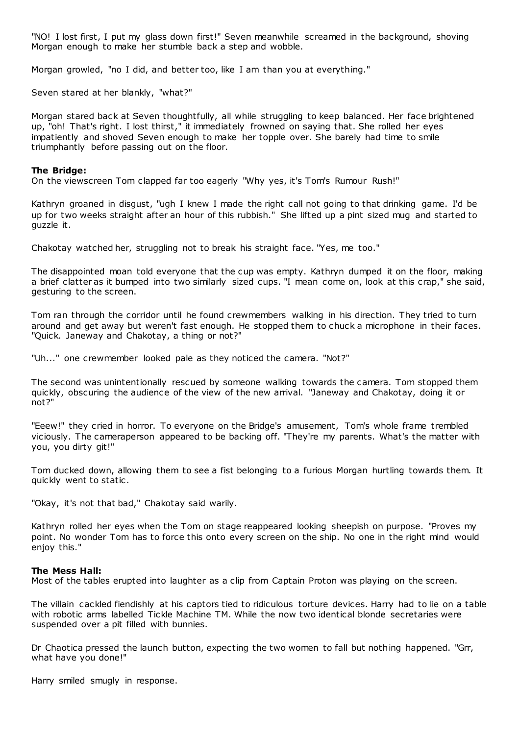"NO! I lost first, I put my glass down first!" Seven meanwhile screamed in the background, shoving Morgan enough to make her stumble back a step and wobble.

Morgan growled, "no I did, and better too, like I am than you at everything."

Seven stared at her blankly, "what?"

Morgan stared back at Seven thoughtfully, all while struggling to keep balanced. Her face brightened up, "oh! That's right. I lost thirst," it immediately frowned on saying that. She rolled her eyes impatiently and shoved Seven enough to make her topple over. She barely had time to smile triumphantly before passing out on the floor.

## **The Bridge:**

On the viewscreen Tom clapped far too eagerly "Why yes, it's Tom's Rumour Rush!"

Kathryn groaned in disgust, "ugh I knew I made the right call not going to that drinking game. I'd be up for two weeks straight after an hour of this rubbish." She lifted up a pint sized mug and started to guzzle it.

Chakotay watched her, struggling not to break his straight face. "Yes, me too."

The disappointed moan told everyone that the cup was empty. Kathryn dumped it on the floor, making a brief clatter as it bumped into two similarly sized cups. "I mean come on, look at this crap," she said, gesturing to the screen.

Tom ran through the corridor until he found crewmembers walking in his direction. They tried to turn around and get away but weren't fast enough. He stopped them to chuck a microphone in their faces. "Quick. Janeway and Chakotay, a thing or not?"

"Uh..." one crewmember looked pale as they noticed the camera. "Not?"

The second was unintentionally rescued by someone walking towards the camera. Tom stopped them quickly, obscuring the audience of the view of the new arrival. "Janeway and Chakotay, doing it or not?"

"Eeew!" they cried in horror. To everyone on the Bridge's amusement, Tom's whole frame trembled viciously. The cameraperson appeared to be backing off. "They're my parents. What's the matter with you, you dirty git!"

Tom ducked down, allowing them to see a fist belonging to a furious Morgan hurtling towards them. It quickly went to static .

"Okay, it's not that bad," Chakotay said warily.

Kathryn rolled her eyes when the Tom on stage reappeared looking sheepish on purpose. "Proves my point. No wonder Tom has to force this onto every screen on the ship. No one in the right mind would enjoy this."

## **The Mess Hall:**

Most of the tables erupted into laughter as a clip from Captain Proton was playing on the screen.

The villain cackled fiendishly at his captors tied to ridiculous torture devices. Harry had to lie on a table with robotic arms labelled Tickle Machine TM. While the now two identical blonde secretaries were suspended over a pit filled with bunnies.

Dr Chaotica pressed the launch button, expecting the two women to fall but nothing happened. "Grr, what have you done!"

Harry smiled smugly in response.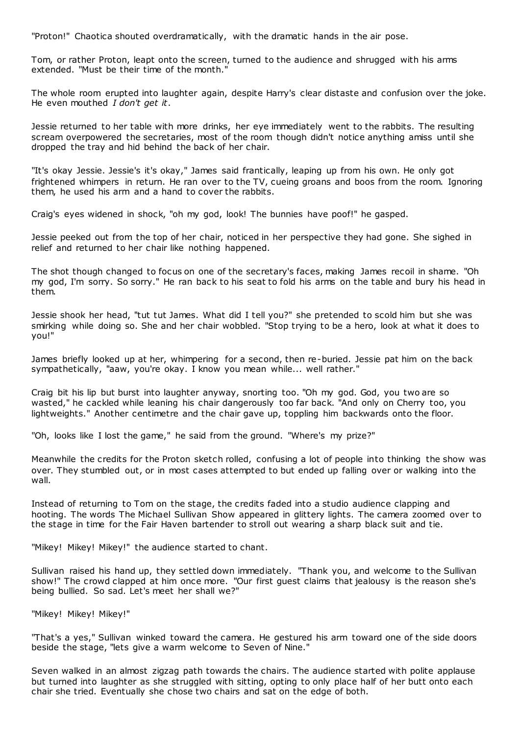"Proton!" Chaotica shouted overdramatically, with the dramatic hands in the air pose.

Tom, or rather Proton, leapt onto the screen, turned to the audience and shrugged with his arms extended. "Must be their time of the month."

The whole room erupted into laughter again, despite Harry's clear distaste and confusion over the joke. He even mouthed *I don't get it*.

Jessie returned to her table with more drinks, her eye immediately went to the rabbits. The resulting scream overpowered the secretaries, most of the room though didn't notice anything amiss until she dropped the tray and hid behind the back of her chair.

"It's okay Jessie. Jessie's it's okay," James said frantically, leaping up from his own. He only got frightened whimpers in return. He ran over to the TV, cueing groans and boos from the room. Ignoring them, he used his arm and a hand to cover the rabbits.

Craig's eyes widened in shock, "oh my god, look! The bunnies have poof!" he gasped.

Jessie peeked out from the top of her chair, noticed in her perspective they had gone. She sighed in relief and returned to her chair like nothing happened.

The shot though changed to focus on one of the secretary's faces, making James recoil in shame. "Oh my god, I'm sorry. So sorry." He ran back to his seat to fold his arms on the table and bury his head in them.

Jessie shook her head, "tut tut James. What did I tell you?" she pretended to scold him but she was smirking while doing so. She and her chair wobbled. "Stop trying to be a hero, look at what it does to you!"

James briefly looked up at her, whimpering for a second, then re-buried. Jessie pat him on the back sympathetically, "aaw, you're okay. I know you mean while... well rather."

Craig bit his lip but burst into laughter anyway, snorting too. "Oh my god. God, you two are so wasted," he cackled while leaning his chair dangerously too far back. "And only on Cherry too, you lightweights." Another centimetre and the chair gave up, toppling him backwards onto the floor.

"Oh, looks like I lost the game," he said from the ground. "Where's my prize?"

Meanwhile the credits for the Proton sketch rolled, confusing a lot of people into thinking the show was over. They stumbled out, or in most cases attempted to but ended up falling over or walking into the wall.

Instead of returning to Tom on the stage, the credits faded into a studio audience clapping and hooting. The words The Michael Sullivan Show appeared in glittery lights. The camera zoomed over to the stage in time for the Fair Haven bartender to stroll out wearing a sharp black suit and tie.

"Mikey! Mikey! Mikey!" the audience started to chant.

Sullivan raised his hand up, they settled down immediately. "Thank you, and welcome to the Sullivan show!" The crowd clapped at him once more. "Our first guest claims that jealousy is the reason she's being bullied. So sad. Let's meet her shall we?"

"Mikey! Mikey! Mikey!"

"That's a yes," Sullivan winked toward the camera. He gestured his arm toward one of the side doors beside the stage, "lets give a warm welcome to Seven of Nine."

Seven walked in an almost zigzag path towards the chairs. The audience started with polite applause but turned into laughter as she struggled with sitting, opting to only place half of her butt onto each chair she tried. Eventually she chose two chairs and sat on the edge of both.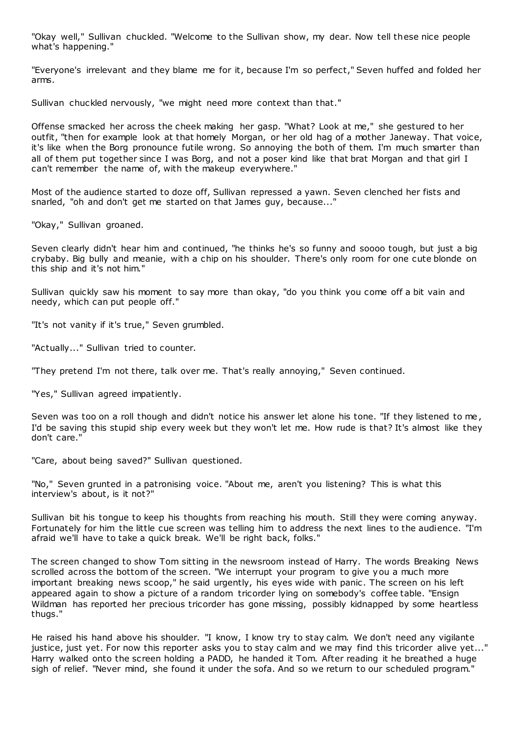"Okay well," Sullivan chuckled. "Welcome to the Sullivan show, my dear. Now tell these nice people what's happening."

"Everyone's irrelevant and they blame me for it, because I'm so perfect," Seven huffed and folded her arms.

Sullivan chuckled nervously, "we might need more context than that."

Offense smacked her across the cheek making her gasp. "What? Look at me," she gestured to her outfit, "then for example look at that homely Morgan, or her old hag of a mother Janeway. That voice, it's like when the Borg pronounce futile wrong. So annoying the both of them. I'm much smarter than all of them put together since I was Borg, and not a poser kind like that brat Morgan and that girl I can't remember the name of, with the makeup everywhere."

Most of the audience started to doze off, Sullivan repressed a yawn. Seven clenched her fists and snarled, "oh and don't get me started on that James guy, because..."

"Okay," Sullivan groaned.

Seven clearly didn't hear him and continued, "he thinks he's so funny and soooo tough, but just a big crybaby. Big bully and meanie, with a chip on his shoulder. There's only room for one cute blonde on this ship and it's not him."

Sullivan quickly saw his moment to say more than okay, "do you think you come off a bit vain and needy, which can put people off."

"It's not vanity if it's true," Seven grumbled.

"Actually..." Sullivan tried to counter.

"They pretend I'm not there, talk over me. That's really annoying," Seven continued.

"Yes," Sullivan agreed impatiently.

Seven was too on a roll though and didn't notice his answer let alone his tone. "If they listened to me , I'd be saving this stupid ship every week but they won't let me. How rude is that? It's almost like they don't care."

"Care, about being saved?" Sullivan questioned.

"No," Seven grunted in a patronising voice. "About me, aren't you listening? This is what this interview's about, is it not?"

Sullivan bit his tongue to keep his thoughts from reaching his mouth. Still they were coming anyway. Fortunately for him the little cue screen was telling him to address the next lines to the audience. "I'm afraid we'll have to take a quick break. We'll be right back, folks."

The screen changed to show Tom sitting in the newsroom instead of Harry. The words Breaking News scrolled across the bottom of the screen. "We interrupt your program to give you a much more important breaking news scoop," he said urgently, his eyes wide with panic. The screen on his left appeared again to show a picture of a random tricorder lying on somebody's coffee table. "Ensign Wildman has reported her precious tricorder has gone missing, possibly kidnapped by some heartless thugs."

He raised his hand above his shoulder. "I know, I know try to stay calm. We don't need any vigilante justice, just yet. For now this reporter asks you to stay calm and we may find this tricorder alive yet..." Harry walked onto the screen holding a PADD, he handed it Tom. After reading it he breathed a huge sigh of relief. "Never mind, she found it under the sofa. And so we return to our scheduled program."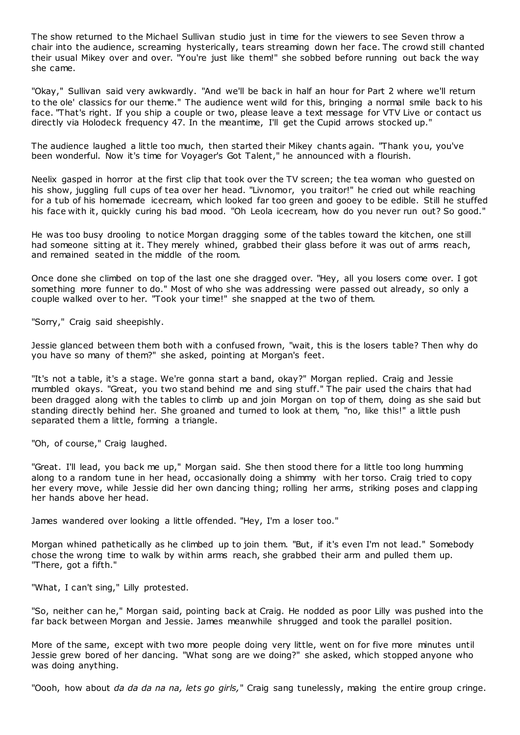The show returned to the Michael Sullivan studio just in time for the viewers to see Seven throw a chair into the audience, screaming hysterically, tears streaming down her face. The crowd still chanted their usual Mikey over and over. "You're just like them!" she sobbed before running out back the way she came.

"Okay," Sullivan said very awkwardly. "And we'll be back in half an hour for Part 2 where we'll return to the ole' classics for our theme." The audience went wild for this, bringing a normal smile back to his face. "That's right. If you ship a couple or two, please leave a text message for VTV Live or contact us directly via Holodeck frequency 47. In the meantime, I'll get the Cupid arrows stocked up."

The audience laughed a little too much, then started their Mikey chants again. "Thank you, you've been wonderful. Now it's time for Voyager's Got Talent," he announced with a flourish.

Neelix gasped in horror at the first clip that took over the TV screen; the tea woman who guested on his show, juggling full cups of tea over her head. "Livnomor, you traitor!" he cried out while reaching for a tub of his homemade icecream, which looked far too green and gooey to be edible. Still he stuffed his face with it, quickly curing his bad mood. "Oh Leola icecream, how do you never run out? So good."

He was too busy drooling to notice Morgan dragging some of the tables toward the kitchen, one still had someone sitting at it. They merely whined, grabbed their glass before it was out of arms reach, and remained seated in the middle of the room.

Once done she climbed on top of the last one she dragged over. "Hey, all you losers come over. I got something more funner to do." Most of who she was addressing were passed out already, so only a couple walked over to her. "Took your time!" she snapped at the two of them.

"Sorry," Craig said sheepishly.

Jessie glanced between them both with a confused frown, "wait, this is the losers table? Then why do you have so many of them?" she asked, pointing at Morgan's feet.

"It's not a table, it's a stage. We're gonna start a band, okay?" Morgan replied. Craig and Jessie mumbled okays. "Great, you two stand behind me and sing stuff." The pair used the chairs that had been dragged along with the tables to climb up and join Morgan on top of them, doing as she said but standing directly behind her. She groaned and turned to look at them, "no, like this!" a little push separated them a little, forming a triangle.

"Oh, of course," Craig laughed.

"Great. I'll lead, you back me up," Morgan said. She then stood there for a little too long humming along to a random tune in her head, occasionally doing a shimmy with her torso. Craig tried to copy her every move, while Jessie did her own dancing thing; rolling her arms, striking poses and clapping her hands above her head.

James wandered over looking a little offended. "Hey, I'm a loser too."

Morgan whined pathetically as he climbed up to join them. "But, if it's even I'm not lead." Somebody chose the wrong time to walk by within arms reach, she grabbed their arm and pulled them up. "There, got a fifth."

"What, I can't sing," Lilly protested.

"So, neither can he," Morgan said, pointing back at Craig. He nodded as poor Lilly was pushed into the far back between Morgan and Jessie. James meanwhile shrugged and took the parallel position.

More of the same, except with two more people doing very little, went on for five more minutes until Jessie grew bored of her dancing. "What song are we doing?" she asked, which stopped anyone who was doing anything.

"Oooh, how about *da da da na na, lets go girls,*" Craig sang tunelessly, making the entire group cringe.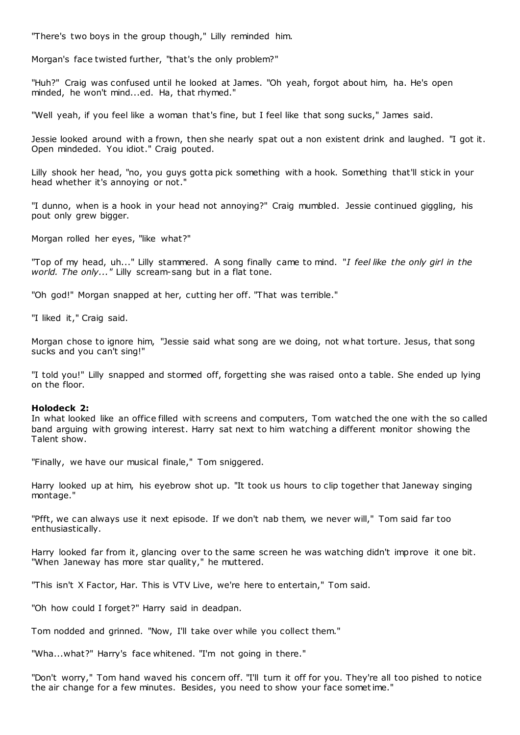"There's two boys in the group though," Lilly reminded him.

Morgan's face twisted further, "that's the only problem?"

"Huh?" Craig was confused until he looked at James. "Oh yeah, forgot about him, ha. He's open minded, he won't mind...ed. Ha, that rhymed."

"Well yeah, if you feel like a woman that's fine, but I feel like that song sucks," James said.

Jessie looked around with a frown, then she nearly spat out a non existent drink and laughed. "I got it. Open mindeded. You idiot." Craig pouted.

Lilly shook her head, "no, you guys gotta pick something with a hook. Something that'll stick in your head whether it's annoying or not."

"I dunno, when is a hook in your head not annoying?" Craig mumbled. Jessie continued giggling, his pout only grew bigger.

Morgan rolled her eyes, "like what?"

"Top of my head, uh..." Lilly stammered. A song finally came to mind. "*I feel like the only girl in the world. The only..."* Lilly scream-sang but in a flat tone.

"Oh god!" Morgan snapped at her, cutting her off. "That was terrible."

"I liked it," Craig said.

Morgan chose to ignore him, "Jessie said what song are we doing, not what torture. Jesus, that song sucks and you can't sing!"

"I told you!" Lilly snapped and stormed off, forgetting she was raised onto a table. She ended up lying on the floor.

#### **Holodeck 2:**

In what looked like an office filled with screens and computers, Tom watched the one with the so called band arguing with growing interest. Harry sat next to him watching a different monitor showing the Talent show.

"Finally, we have our musical finale," Tom sniggered.

Harry looked up at him, his eyebrow shot up. "It took us hours to clip together that Janeway singing montage."

"Pfft, we can always use it next episode. If we don't nab them, we never will," Tom said far too enthusiastically.

Harry looked far from it, glancing over to the same screen he was watching didn't improve it one bit. "When Janeway has more star quality," he muttered.

"This isn't X Factor, Har. This is VTV Live, we're here to entertain," Tom said.

"Oh how could I forget?" Harry said in deadpan.

Tom nodded and grinned. "Now, I'll take over while you collect them."

"Wha...what?" Harry's face whitened. "I'm not going in there."

"Don't worry," Tom hand waved his concern off. "I'll turn it off for you. They're all too pished to notice the air change for a few minutes. Besides, you need to show your face sometime."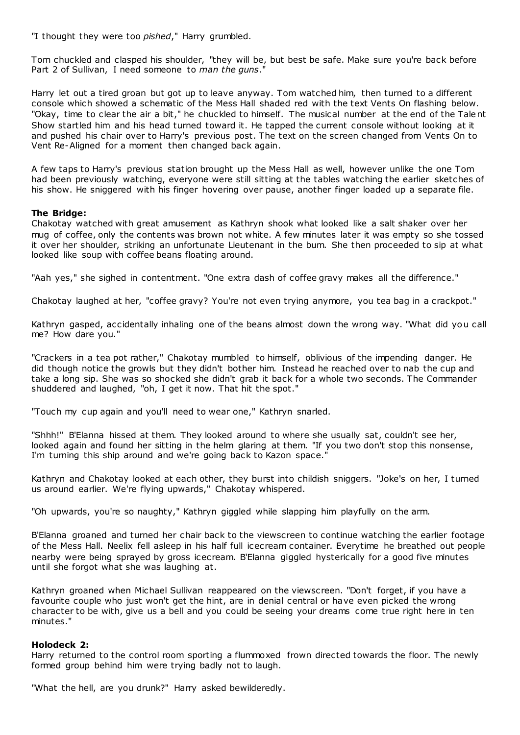"I thought they were too *pished*," Harry grumbled.

Tom chuckled and clasped his shoulder, "they will be, but best be safe. Make sure you're back before Part 2 of Sullivan, I need someone to *man the guns*."

Harry let out a tired groan but got up to leave anyway. Tom watched him, then turned to a different console which showed a schematic of the Mess Hall shaded red with the text Vents On flashing below. "Okay, time to clear the air a bit," he chuckled to himself. The musical number at the end of the Talent Show startled him and his head turned toward it. He tapped the current console without looking at it and pushed his chair over to Harry's previous post. The text on the screen changed from Vents On to Vent Re-Aligned for a moment then changed back again.

A few taps to Harry's previous station brought up the Mess Hall as well, however unlike the one Tom had been previously watching, everyone were still sitting at the tables watching the earlier sketches of his show. He sniggered with his finger hovering over pause, another finger loaded up a separate file.

## **The Bridge:**

Chakotay watched with great amusement as Kathryn shook what looked like a salt shaker over her mug of coffee, only the contents was brown not white. A few minutes later it was empty so she tossed it over her shoulder, striking an unfortunate Lieutenant in the bum. She then proceeded to sip at what looked like soup with coffee beans floating around.

"Aah yes," she sighed in contentment. "One extra dash of coffee gravy makes all the difference."

Chakotay laughed at her, "coffee gravy? You're not even trying anymore, you tea bag in a crackpot."

Kathryn gasped, accidentally inhaling one of the beans almost down the wrong way. "What did you call me? How dare you."

"Crackers in a tea pot rather," Chakotay mumbled to himself, oblivious of the impending danger. He did though notice the growls but they didn't bother him. Instead he reached over to nab the cup and take a long sip. She was so shocked she didn't grab it back for a whole two seconds. The Commander shuddered and laughed, "oh, I get it now. That hit the spot."

"Touch my cup again and you'll need to wear one," Kathryn snarled.

"Shhh!" B'Elanna hissed at them. They looked around to where she usually sat, couldn't see her, looked again and found her sitting in the helm glaring at them. "If you two don't stop this nonsense, I'm turning this ship around and we're going back to Kazon space."

Kathryn and Chakotay looked at each other, they burst into childish sniggers. "Joke's on her, I turned us around earlier. We're flying upwards," Chakotay whispered.

"Oh upwards, you're so naughty," Kathryn giggled while slapping him playfully on the arm.

B'Elanna groaned and turned her chair back to the viewscreen to continue watching the earlier footage of the Mess Hall. Neelix fell asleep in his half full icecream container. Everytime he breathed out people nearby were being sprayed by gross icecream. B'Elanna giggled hysterically for a good five minutes until she forgot what she was laughing at.

Kathryn groaned when Michael Sullivan reappeared on the viewscreen. "Don't forget, if you have a favourite couple who just won't get the hint, are in denial central or have even picked the wrong character to be with, give us a bell and you could be seeing your dreams come true right here in ten minutes."

## **Holodeck 2:**

Harry returned to the control room sporting a flummoxed frown directed towards the floor. The newly formed group behind him were trying badly not to laugh.

"What the hell, are you drunk?" Harry asked bewilderedly.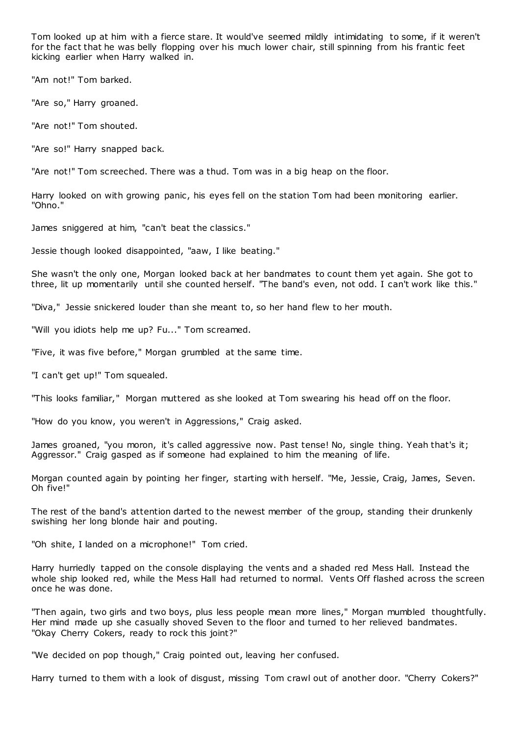Tom looked up at him with a fierce stare. It would've seemed mildly intimidating to some, if it weren't for the fact that he was belly flopping over his much lower chair, still spinning from his frantic feet kicking earlier when Harry walked in.

"Am not!" Tom barked.

"Are so," Harry groaned.

"Are not!" Tom shouted.

"Are so!" Harry snapped back.

"Are not!" Tom screeched. There was a thud. Tom was in a big heap on the floor.

Harry looked on with growing panic, his eyes fell on the station Tom had been monitoring earlier. "Ohno."

James sniggered at him, "can't beat the classics."

Jessie though looked disappointed, "aaw, I like beating."

She wasn't the only one, Morgan looked back at her bandmates to count them yet again. She got to three, lit up momentarily until she counted herself. "The band's even, not odd. I can't work like this."

"Diva," Jessie snickered louder than she meant to, so her hand flew to her mouth.

"Will you idiots help me up? Fu..." Tom screamed.

"Five, it was five before," Morgan grumbled at the same time.

"I can't get up!" Tom squealed.

"This looks familiar," Morgan muttered as she looked at Tom swearing his head off on the floor.

"How do you know, you weren't in Aggressions," Craig asked.

James groaned, "you moron, it's called aggressive now. Past tense! No, single thing. Yeah that's it; Aggressor." Craig gasped as if someone had explained to him the meaning of life.

Morgan counted again by pointing her finger, starting with herself. "Me, Jessie, Craig, James, Seven. Oh five!"

The rest of the band's attention darted to the newest member of the group, standing their drunkenly swishing her long blonde hair and pouting.

"Oh shite, I landed on a microphone!" Tom cried.

Harry hurriedly tapped on the console displaying the vents and a shaded red Mess Hall. Instead the whole ship looked red, while the Mess Hall had returned to normal. Vents Off flashed across the screen once he was done.

"Then again, two girls and two boys, plus less people mean more lines," Morgan mumbled thoughtfully. Her mind made up she casually shoved Seven to the floor and turned to her relieved bandmates. "Okay Cherry Cokers, ready to rock this joint?"

"We decided on pop though," Craig pointed out, leaving her confused.

Harry turned to them with a look of disgust, missing Tom crawl out of another door. "Cherry Cokers?"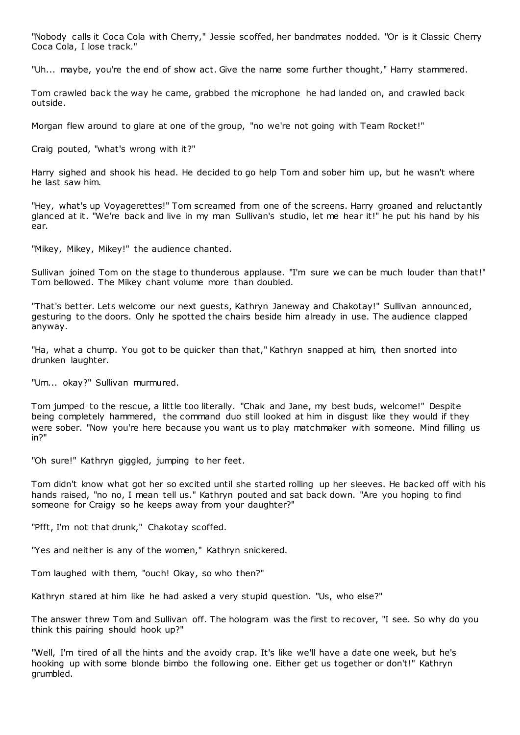"Nobody calls it Coca Cola with Cherry," Jessie scoffed, her bandmates nodded. "Or is it Classic Cherry Coca Cola, I lose track."

"Uh... maybe, you're the end of show act. Give the name some further thought," Harry stammered.

Tom crawled back the way he came, grabbed the microphone he had landed on, and crawled back outside.

Morgan flew around to glare at one of the group, "no we're not going with Team Rocket!"

Craig pouted, "what's wrong with it?"

Harry sighed and shook his head. He decided to go help Tom and sober him up, but he wasn't where he last saw him.

"Hey, what's up Voyagerettes!" Tom screamed from one of the screens. Harry groaned and reluctantly glanced at it. "We're back and live in my man Sullivan's studio, let me hear it!" he put his hand by his ear.

"Mikey, Mikey, Mikey!" the audience chanted.

Sullivan joined Tom on the stage to thunderous applause. "I'm sure we can be much louder than that!" Tom bellowed. The Mikey chant volume more than doubled.

"That's better. Lets welcome our next guests, Kathryn Janeway and Chakotay!" Sullivan announced, gesturing to the doors. Only he spotted the chairs beside him already in use. The audience clapped anyway.

"Ha, what a chump. You got to be quicker than that," Kathryn snapped at him, then snorted into drunken laughter.

"Um... okay?" Sullivan murmured.

Tom jumped to the rescue, a little too literally. "Chak and Jane, my best buds, welcome!" Despite being completely hammered, the command duo still looked at him in disgust like they would if they were sober. "Now you're here because you want us to play matchmaker with someone. Mind filling us in?"

"Oh sure!" Kathryn giggled, jumping to her feet.

Tom didn't know what got her so excited until she started rolling up her sleeves. He backed off with his hands raised, "no no, I mean tell us." Kathryn pouted and sat back down. "Are you hoping to find someone for Craigy so he keeps away from your daughter?"

"Pfft, I'm not that drunk," Chakotay scoffed.

"Yes and neither is any of the women," Kathryn snickered.

Tom laughed with them, "ouch! Okay, so who then?"

Kathryn stared at him like he had asked a very stupid question. "Us, who else?"

The answer threw Tom and Sullivan off. The hologram was the first to recover, "I see. So why do you think this pairing should hook up?"

"Well, I'm tired of all the hints and the avoidy crap. It's like we'll have a date one week, but he's hooking up with some blonde bimbo the following one. Either get us together or don't!" Kathryn grumbled.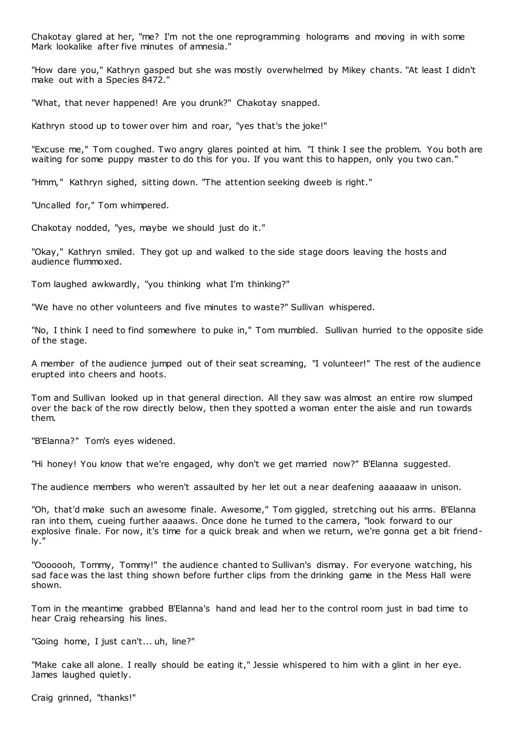Chakotay glared at her, "me? I'm not the one reprogramming holograms and moving in with some Mark lookalike after five minutes of amnesia."

"How dare you," Kathryn gasped but she was mostly overwhelmed by Mikey chants. "At least I didn't make out with a Species 8472."

"What, that never happened! Are you drunk?" Chakotay snapped.

Kathryn stood up to tower over him and roar, "yes that's the joke!"

"Excuse me," Tom coughed. Two angry glares pointed at him. "I think I see the problem. You both are waiting for some puppy master to do this for you. If you want this to happen, only you two can."

"Hmm," Kathryn sighed, sitting down. "The attention seeking dweeb is right."

"Uncalled for," Tom whimpered.

Chakotay nodded, "yes, maybe we should just do it."

"Okay," Kathryn smiled. They got up and walked to the side stage doors leaving the hosts and audience flummoxed.

Tom laughed awkwardly, "you thinking what I'm thinking?"

"We have no other volunteers and five minutes to waste?" Sullivan whispered.

"No, I think I need to find somewhere to puke in," Tom mumbled. Sullivan hurried to the opposite side of the stage.

A member of the audience jumped out of their seat screaming, "I volunteer!" The rest of the audience erupted into cheers and hoots.

Tom and Sullivan looked up in that general direction. All they saw was almost an entire row slumped over the back of the row directly below, then they spotted a woman enter the aisle and run towards them.

"B'Elanna?" Tom's eyes widened.

"Hi honey! You know that we're engaged, why don't we get married now?" B'Elanna suggested.

The audience members who weren't assaulted by her let out a near deafening aaaaaaw in unison.

"Oh, that'd make such an awesome finale. Awesome," Tom giggled, stretching out his arms. B'Elanna ran into them, cueing further aaaaws. Once done he turned to the camera, "look forward to our explosive finale. For now, it's time for a quick break and when we return, we're gonna get a bit friendly."

"Ooooooh, Tommy, Tommy!" the audience chanted to Sullivan's dismay. For everyone watching, his sad face was the last thing shown before further clips from the drinking game in the Mess Hall were shown.

Tom in the meantime grabbed B'Elanna's hand and lead her to the control room just in bad time to hear Craig rehearsing his lines.

"Going home, I just can't... uh, line?"

"Make cake all alone. I really should be eating it," Jessie whispered to him with a glint in her eye. James laughed quietly.

Craig grinned, "thanks!"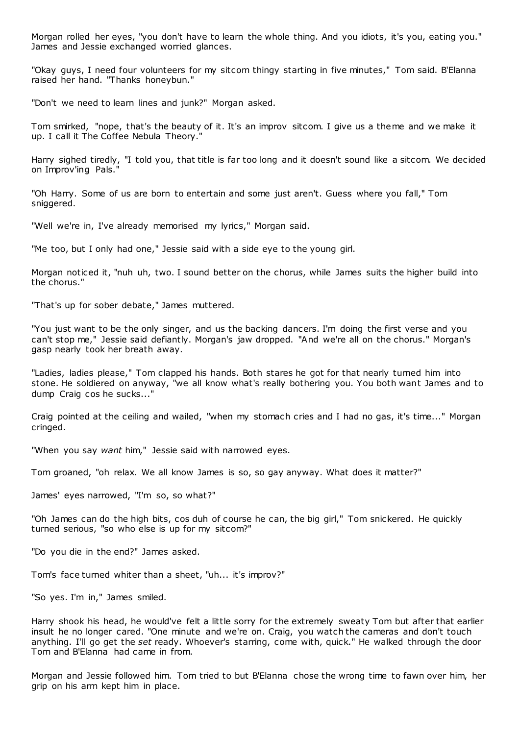Morgan rolled her eyes, "you don't have to learn the whole thing. And you idiots, it's you, eating you." James and Jessie exchanged worried glances.

"Okay guys, I need four volunteers for my sitcom thingy starting in five minutes," Tom said. B'Elanna raised her hand. "Thanks honeybun."

"Don't we need to learn lines and junk?" Morgan asked.

Tom smirked, "nope, that's the beauty of it. It's an improv sitcom. I give us a theme and we make it up. I call it The Coffee Nebula Theory.'

Harry sighed tiredly, "I told you, that title is far too long and it doesn't sound like a sitcom. We decided on Improv'ing Pals."

"Oh Harry. Some of us are born to entertain and some just aren't. Guess where you fall," Tom sniggered.

"Well we're in, I've already memorised my lyrics," Morgan said.

"Me too, but I only had one," Jessie said with a side eye to the young girl.

Morgan noticed it, "nuh uh, two. I sound better on the chorus, while James suits the higher build into the chorus."

"That's up for sober debate," James muttered.

"You just want to be the only singer, and us the backing dancers. I'm doing the first verse and you can't stop me," Jessie said defiantly. Morgan's jaw dropped. "And we're all on the chorus." Morgan's gasp nearly took her breath away.

"Ladies, ladies please," Tom clapped his hands. Both stares he got for that nearly turned him into stone. He soldiered on anyway, "we all know what's really bothering you. You both want James and to dump Craig cos he sucks..."

Craig pointed at the ceiling and wailed, "when my stomach cries and I had no gas, it's time..." Morgan cringed.

"When you say *want* him," Jessie said with narrowed eyes.

Tom groaned, "oh relax. We all know James is so, so gay anyway. What does it matter?"

James' eyes narrowed, "I'm so, so what?"

"Oh James can do the high bits, cos duh of course he can, the big girl," Tom snickered. He quickly turned serious, "so who else is up for my sitcom?"

"Do you die in the end?" James asked.

Tom's face turned whiter than a sheet, "uh... it's improv?"

"So yes. I'm in," James smiled.

Harry shook his head, he would've felt a little sorry for the extremely sweaty Tom but after that earlier insult he no longer cared. "One minute and we're on. Craig, you watch the cameras and don't touch anything. I'll go get the *set* ready. Whoever's starring, come with, quick." He walked through the door Tom and B'Elanna had came in from.

Morgan and Jessie followed him. Tom tried to but B'Elanna chose the wrong time to fawn over him, her grip on his arm kept him in place.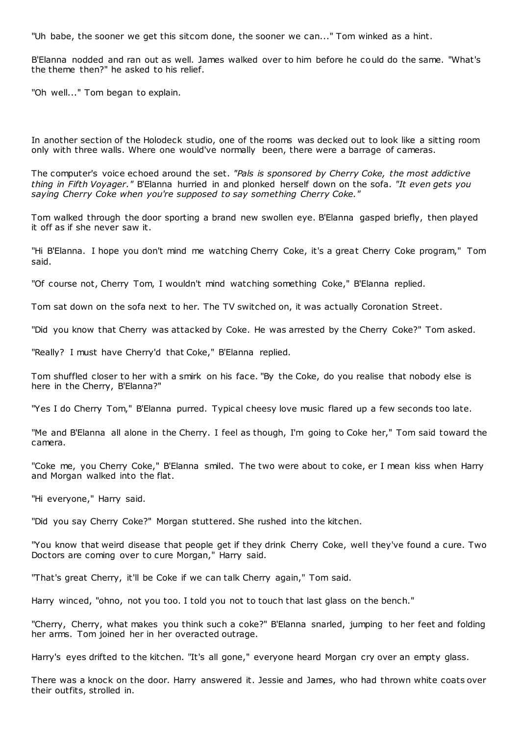"Uh babe, the sooner we get this sitcom done, the sooner we can..." Tom winked as a hint.

B'Elanna nodded and ran out as well. James walked over to him before he could do the same. "What's the theme then?" he asked to his relief.

"Oh well..." Tom began to explain.

In another section of the Holodeck studio, one of the rooms was decked out to look like a sitting room only with three walls. Where one would've normally been, there were a barrage of cameras.

The computer's voice echoed around the set. *"Pals is sponsored by Cherry Coke, the most addictive thing in Fifth Voyager."* B'Elanna hurried in and plonked herself down on the sofa. *"It even gets you saying Cherry Coke when you're supposed to say something Cherry Coke."*

Tom walked through the door sporting a brand new swollen eye. B'Elanna gasped briefly, then played it off as if she never saw it.

"Hi B'Elanna. I hope you don't mind me watching Cherry Coke, it's a great Cherry Coke program," Tom said.

"Of course not, Cherry Tom, I wouldn't mind watching something Coke," B'Elanna replied.

Tom sat down on the sofa next to her. The TV switched on, it was actually Coronation Street.

"Did you know that Cherry was attacked by Coke. He was arrested by the Cherry Coke?" Tom asked.

"Really? I must have Cherry'd that Coke," B'Elanna replied.

Tom shuffled closer to her with a smirk on his face. "By the Coke, do you realise that nobody else is here in the Cherry, B'Elanna?"

"Yes I do Cherry Tom," B'Elanna purred. Typical cheesy love music flared up a few seconds too late.

"Me and B'Elanna all alone in the Cherry. I feel as though, I'm going to Coke her," Tom said toward the camera.

"Coke me, you Cherry Coke," B'Elanna smiled. The two were about to coke, er I mean kiss when Harry and Morgan walked into the flat.

"Hi everyone," Harry said.

"Did you say Cherry Coke?" Morgan stuttered. She rushed into the kitchen.

"You know that weird disease that people get if they drink Cherry Coke, well they've found a cure. Two Doctors are coming over to cure Morgan," Harry said.

"That's great Cherry, it'll be Coke if we can talk Cherry again," Tom said.

Harry winced, "ohno, not you too. I told you not to touch that last glass on the bench."

"Cherry, Cherry, what makes you think such a coke?" B'Elanna snarled, jumping to her feet and folding her arms. Tom joined her in her overacted outrage.

Harry's eyes drifted to the kitchen. "It's all gone," everyone heard Morgan cry over an empty glass.

There was a knock on the door. Harry answered it. Jessie and James, who had thrown white coats over their outfits, strolled in.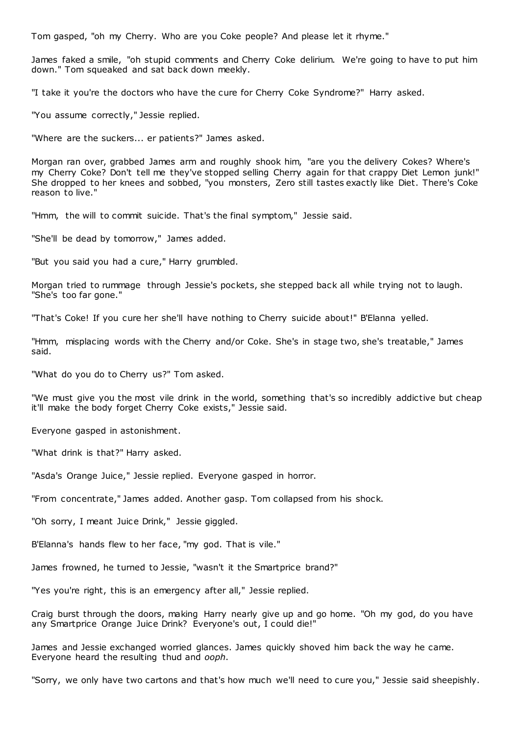Tom gasped, "oh my Cherry. Who are you Coke people? And please let it rhyme."

James faked a smile, "oh stupid comments and Cherry Coke delirium. We're going to have to put him down." Tom squeaked and sat back down meekly.

"I take it you're the doctors who have the cure for Cherry Coke Syndrome?" Harry asked.

"You assume correctly," Jessie replied.

"Where are the suckers... er patients?" James asked.

Morgan ran over, grabbed James arm and roughly shook him, "are you the delivery Cokes? Where's my Cherry Coke? Don't tell me they've stopped selling Cherry again for that crappy Diet Lemon junk!" She dropped to her knees and sobbed, "you monsters, Zero still tastes exactly like Diet. There's Coke reason to live."

"Hmm, the will to commit suicide. That's the final symptom," Jessie said.

"She'll be dead by tomorrow," James added.

"But you said you had a cure," Harry grumbled.

Morgan tried to rummage through Jessie's pockets, she stepped back all while trying not to laugh. "She's too far gone."

"That's Coke! If you cure her she'll have nothing to Cherry suicide about!" B'Elanna yelled.

"Hmm, misplacing words with the Cherry and/or Coke. She's in stage two, she's treatable," James said.

"What do you do to Cherry us?" Tom asked.

"We must give you the most vile drink in the world, something that's so incredibly addictive but cheap it'll make the body forget Cherry Coke exists," Jessie said.

Everyone gasped in astonishment.

"What drink is that?" Harry asked.

"Asda's Orange Juice," Jessie replied. Everyone gasped in horror.

"From concentrate," James added. Another gasp. Tom collapsed from his shock.

"Oh sorry, I meant Juice Drink," Jessie giggled.

B'Elanna's hands flew to her face, "my god. That is vile."

James frowned, he turned to Jessie, "wasn't it the Smartprice brand?"

"Yes you're right, this is an emergency after all," Jessie replied.

Craig burst through the doors, making Harry nearly give up and go home. "Oh my god, do you have any Smartprice Orange Juice Drink? Everyone's out, I could die!"

James and Jessie exchanged worried glances. James quickly shoved him back the way he came. Everyone heard the resulting thud and *ooph*.

"Sorry, we only have two cartons and that's how much we'll need to cure you," Jessie said sheepishly.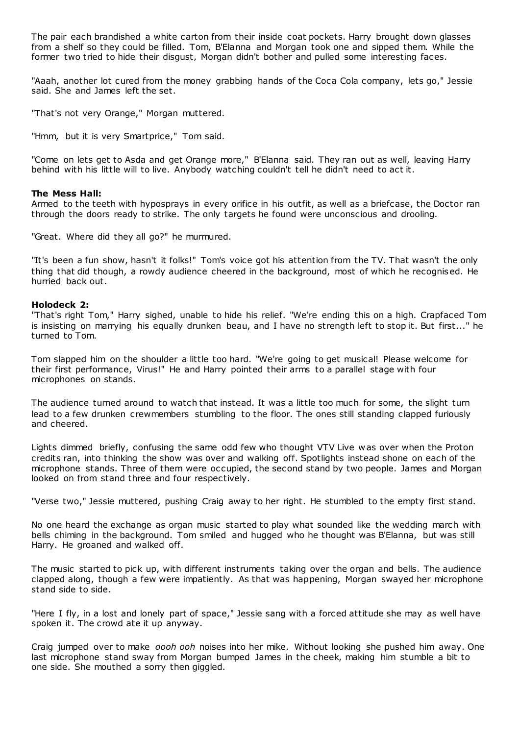The pair each brandished a white carton from their inside coat pockets. Harry brought down glasses from a shelf so they could be filled. Tom, B'Elanna and Morgan took one and sipped them. While the former two tried to hide their disgust, Morgan didn't bother and pulled some interesting faces.

"Aaah, another lot cured from the money grabbing hands of the Coca Cola company, lets go," Jessie said. She and James left the set.

"That's not very Orange," Morgan muttered.

"Hmm, but it is very Smartprice," Tom said.

"Come on lets get to Asda and get Orange more," B'Elanna said. They ran out as well, leaving Harry behind with his little will to live. Anybody watching couldn't tell he didn't need to act it.

## **The Mess Hall:**

Armed to the teeth with hyposprays in every orifice in his outfit, as well as a briefcase, the Doctor ran through the doors ready to strike. The only targets he found were unconscious and drooling.

"Great. Where did they all go?" he murmured.

"It's been a fun show, hasn't it folks!" Tom's voice got his attention from the TV. That wasn't the only thing that did though, a rowdy audience cheered in the background, most of which he recognised. He hurried back out.

## **Holodeck 2:**

"That's right Tom," Harry sighed, unable to hide his relief. "We're ending this on a high. Crapfaced Tom is insisting on marrying his equally drunken beau, and I have no strength left to stop it. But first..." he turned to Tom.

Tom slapped him on the shoulder a little too hard. "We're going to get musical! Please welcome for their first performance, Virus!" He and Harry pointed their arms to a parallel stage with four microphones on stands.

The audience turned around to watch that instead. It was a little too much for some, the slight turn lead to a few drunken crewmembers stumbling to the floor. The ones still standing clapped furiously and cheered.

Lights dimmed briefly, confusing the same odd few who thought VTV Live was over when the Proton credits ran, into thinking the show was over and walking off. Spotlights instead shone on each of the microphone stands. Three of them were occupied, the second stand by two people. James and Morgan looked on from stand three and four respectively.

"Verse two," Jessie muttered, pushing Craig away to her right. He stumbled to the empty first stand.

No one heard the exchange as organ music started to play what sounded like the wedding march with bells chiming in the background. Tom smiled and hugged who he thought was B'Elanna, but was still Harry. He groaned and walked off.

The music started to pick up, with different instruments taking over the organ and bells. The audience clapped along, though a few were impatiently. As that was happening, Morgan swayed her microphone stand side to side.

"Here I fly, in a lost and lonely part of space," Jessie sang with a forced attitude she may as well have spoken it. The crowd ate it up anyway.

Craig jumped over to make *oooh ooh* noises into her mike. Without looking she pushed him away. One last microphone stand sway from Morgan bumped James in the cheek, making him stumble a bit to one side. She mouthed a sorry then giggled.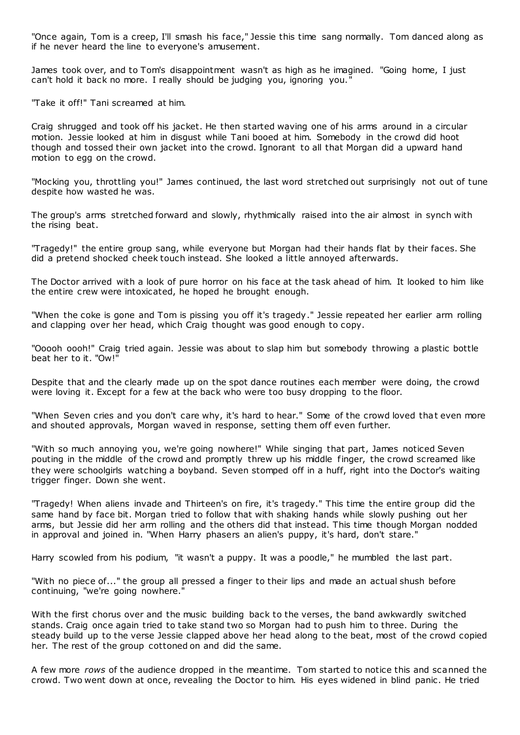"Once again, Tom is a creep, I'll smash his face," Jessie this time sang normally. Tom danced along as if he never heard the line to everyone's amusement.

James took over, and to Tom's disappointment wasn't as high as he imagined. "Going home, I just can't hold it back no more. I really should be judging you, ignoring you."

"Take it off!" Tani screamed at him.

Craig shrugged and took off his jacket. He then started waving one of his arms around in a circular motion. Jessie looked at him in disgust while Tani booed at him. Somebody in the crowd did hoot though and tossed their own jacket into the crowd. Ignorant to all that Morgan did a upward hand motion to egg on the crowd.

"Mocking you, throttling you!" James continued, the last word stretched out surprisingly not out of tune despite how wasted he was.

The group's arms stretched forward and slowly, rhythmically raised into the air almost in synch with the rising beat.

"Tragedy!" the entire group sang, while everyone but Morgan had their hands flat by their faces. She did a pretend shocked cheek touch instead. She looked a little annoyed afterwards.

The Doctor arrived with a look of pure horror on his face at the task ahead of him. It looked to him like the entire crew were intoxicated, he hoped he brought enough.

"When the coke is gone and Tom is pissing you off it's tragedy." Jessie repeated her earlier arm rolling and clapping over her head, which Craig thought was good enough to copy.

"Ooooh oooh!" Craig tried again. Jessie was about to slap him but somebody throwing a plastic bottle beat her to it. "Ow!"

Despite that and the clearly made up on the spot dance routines each member were doing, the crowd were loving it. Except for a few at the back who were too busy dropping to the floor.

"When Seven cries and you don't care why, it's hard to hear." Some of the crowd loved that even more and shouted approvals, Morgan waved in response, setting them off even further.

"With so much annoying you, we're going nowhere!" While singing that part, James noticed Seven pouting in the middle of the crowd and promptly threw up his middle finger, the crowd screamed like they were schoolgirls watching a boyband. Seven stomped off in a huff, right into the Doctor's waiting trigger finger. Down she went.

"Tragedy! When aliens invade and Thirteen's on fire, it's tragedy." This time the entire group did the same hand by face bit. Morgan tried to follow that with shaking hands while slowly pushing out her arms, but Jessie did her arm rolling and the others did that instead. This time though Morgan nodded in approval and joined in. "When Harry phasers an alien's puppy, it's hard, don't stare."

Harry scowled from his podium, "it wasn't a puppy. It was a poodle," he mumbled the last part.

"With no piece of..." the group all pressed a finger to their lips and made an actual shush before continuing, "we're going nowhere."

With the first chorus over and the music building back to the verses, the band awkwardly switched stands. Craig once again tried to take stand two so Morgan had to push him to three. During the steady build up to the verse Jessie clapped above her head along to the beat, most of the crowd copied her. The rest of the group cottoned on and did the same.

A few more *rows* of the audience dropped in the meantime. Tom started to notice this and scanned the crowd. Two went down at once, revealing the Doctor to him. His eyes widened in blind panic . He tried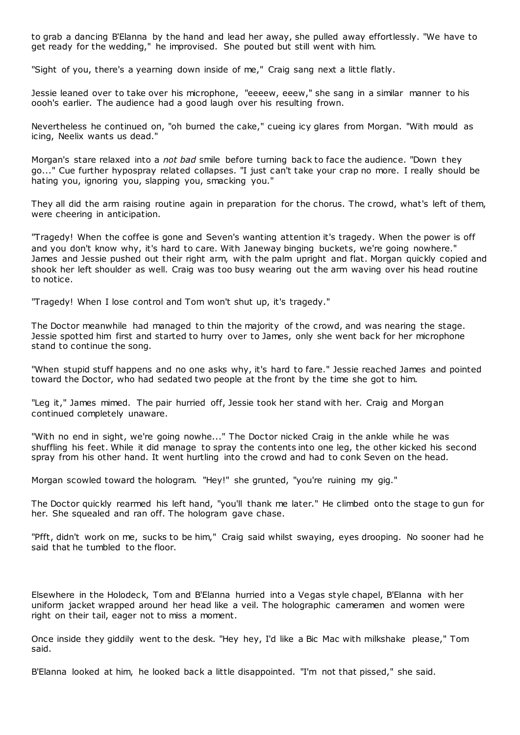to grab a dancing B'Elanna by the hand and lead her away, she pulled away effortlessly. "We have to get ready for the wedding," he improvised. She pouted but still went with him.

"Sight of you, there's a yearning down inside of me," Craig sang next a little flatly.

Jessie leaned over to take over his microphone, "eeeew, eeew," she sang in a similar manner to his oooh's earlier. The audience had a good laugh over his resulting frown.

Nevertheless he continued on, "oh burned the cake," cueing icy glares from Morgan. "With mould as icing, Neelix wants us dead."

Morgan's stare relaxed into a *not bad* smile before turning back to face the audience. "Down they go..." Cue further hypospray related collapses. "I just can't take your crap no more. I really should be hating you, ignoring you, slapping you, smacking you."

They all did the arm raising routine again in preparation for the chorus. The crowd, what's left of them, were cheering in anticipation.

"Tragedy! When the coffee is gone and Seven's wanting attention it's tragedy. When the power is off and you don't know why, it's hard to care. With Janeway binging buckets, we're going nowhere." James and Jessie pushed out their right arm, with the palm upright and flat. Morgan quickly copied and shook her left shoulder as well. Craig was too busy wearing out the arm waving over his head routine to notice.

"Tragedy! When I lose control and Tom won't shut up, it's tragedy."

The Doctor meanwhile had managed to thin the majority of the crowd, and was nearing the stage. Jessie spotted him first and started to hurry over to James, only she went back for her microphone stand to continue the song.

"When stupid stuff happens and no one asks why, it's hard to fare." Jessie reached James and pointed toward the Doctor, who had sedated two people at the front by the time she got to him.

"Leg it," James mimed. The pair hurried off, Jessie took her stand with her. Craig and Morgan continued completely unaware.

"With no end in sight, we're going nowhe..." The Doctor nicked Craig in the ankle while he was shuffling his feet. While it did manage to spray the contents into one leg, the other kicked his second spray from his other hand. It went hurtling into the crowd and had to conk Seven on the head.

Morgan scowled toward the hologram. "Hey!" she grunted, "you're ruining my gig."

The Doctor quickly rearmed his left hand, "you'll thank me later." He climbed onto the stage to gun for her. She squealed and ran off. The hologram gave chase.

"Pfft, didn't work on me, sucks to be him," Craig said whilst swaying, eyes drooping. No sooner had he said that he tumbled to the floor.

Elsewhere in the Holodeck, Tom and B'Elanna hurried into a Vegas style chapel, B'Elanna with her uniform jacket wrapped around her head like a veil. The holographic cameramen and women were right on their tail, eager not to miss a moment.

Once inside they giddily went to the desk. "Hey hey, I'd like a Bic Mac with milkshake please," Tom said.

B'Elanna looked at him, he looked back a little disappointed. "I'm not that pissed," she said.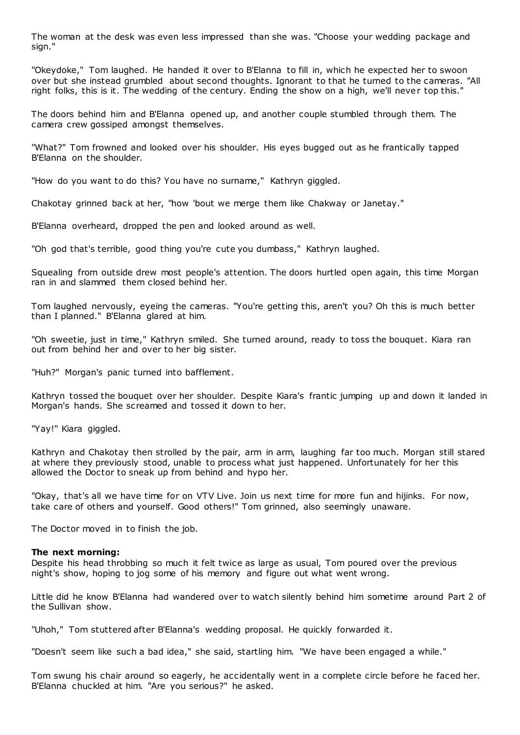The woman at the desk was even less impressed than she was. "Choose your wedding package and sign."

"Okeydoke," Tom laughed. He handed it over to B'Elanna to fill in, which he expected her to swoon over but she instead grumbled about second thoughts. Ignorant to that he turned to the cameras. "All right folks, this is it. The wedding of the century. Ending the show on a high, we'll never top this."

The doors behind him and B'Elanna opened up, and another couple stumbled through them. The camera crew gossiped amongst themselves.

"What?" Tom frowned and looked over his shoulder. His eyes bugged out as he frantically tapped B'Elanna on the shoulder.

"How do you want to do this? You have no surname," Kathryn giggled.

Chakotay grinned back at her, "how 'bout we merge them like Chakway or Janetay."

B'Elanna overheard, dropped the pen and looked around as well.

"Oh god that's terrible, good thing you're cute you dumbass," Kathryn laughed.

Squealing from outside drew most people's attention. The doors hurtled open again, this time Morgan ran in and slammed them closed behind her.

Tom laughed nervously, eyeing the cameras. "You're getting this, aren't you? Oh this is much better than I planned." B'Elanna glared at him.

"Oh sweetie, just in time," Kathryn smiled. She turned around, ready to toss the bouquet. Kiara ran out from behind her and over to her big sister.

"Huh?" Morgan's panic turned into bafflement.

Kathryn tossed the bouquet over her shoulder. Despite Kiara's frantic jumping up and down it landed in Morgan's hands. She screamed and tossed it down to her.

"Yay!" Kiara giggled.

Kathryn and Chakotay then strolled by the pair, arm in arm, laughing far too much. Morgan still stared at where they previously stood, unable to process what just happened. Unfortunately for her this allowed the Doctor to sneak up from behind and hypo her.

"Okay, that's all we have time for on VTV Live. Join us next time for more fun and hijinks. For now, take care of others and yourself. Good others!" Tom grinned, also seemingly unaware.

The Doctor moved in to finish the job.

#### **The next morning:**

Despite his head throbbing so much it felt twice as large as usual, Tom poured over the previous night's show, hoping to jog some of his memory and figure out what went wrong.

Little did he know B'Elanna had wandered over to watch silently behind him sometime around Part 2 of the Sullivan show.

"Uhoh," Tom stuttered after B'Elanna's wedding proposal. He quickly forwarded it.

"Doesn't seem like such a bad idea," she said, startling him. "We have been engaged a while."

Tom swung his chair around so eagerly, he accidentally went in a complete circle before he faced her. B'Elanna chuckled at him. "Are you serious?" he asked.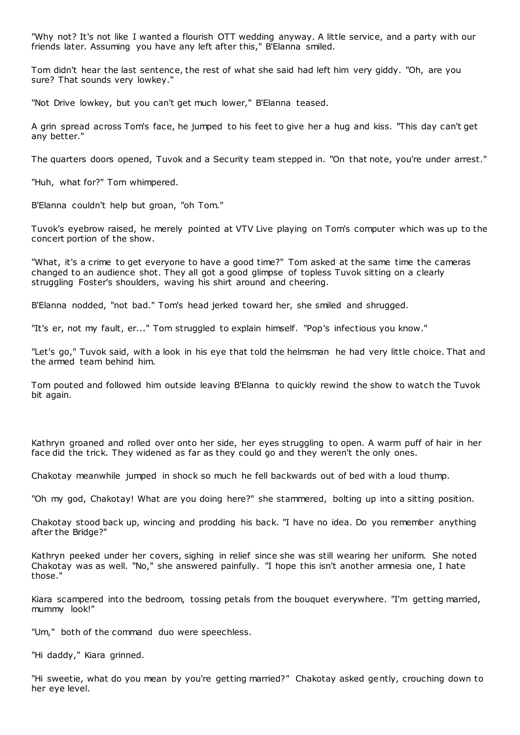"Why not? It's not like I wanted a flourish OTT wedding anyway. A little service, and a party with our friends later. Assuming you have any left after this," B'Elanna smiled.

Tom didn't hear the last sentence, the rest of what she said had left him very giddy. "Oh, are you sure? That sounds very lowkey."

"Not Drive lowkey, but you can't get much lower," B'Elanna teased.

A grin spread across Tom's face, he jumped to his feet to give her a hug and kiss. "This day can't get any better."

The quarters doors opened, Tuvok and a Security team stepped in. "On that note, you're under arrest."

"Huh, what for?" Tom whimpered.

B'Elanna couldn't help but groan, "oh Tom."

Tuvok's eyebrow raised, he merely pointed at VTV Live playing on Tom's computer which was up to the concert portion of the show.

"What, it's a crime to get everyone to have a good time?" Tom asked at the same time the cameras changed to an audience shot. They all got a good glimpse of topless Tuvok sitting on a clearly struggling Foster's shoulders, waving his shirt around and cheering.

B'Elanna nodded, "not bad." Tom's head jerked toward her, she smiled and shrugged.

"It's er, not my fault, er..." Tom struggled to explain himself. "Pop's infectious you know."

"Let's go," Tuvok said, with a look in his eye that told the helmsman he had very little choice. That and the armed team behind him.

Tom pouted and followed him outside leaving B'Elanna to quickly rewind the show to watch the Tuvok bit again.

Kathryn groaned and rolled over onto her side, her eyes struggling to open. A warm puff of hair in her face did the trick. They widened as far as they could go and they weren't the only ones.

Chakotay meanwhile jumped in shock so much he fell backwards out of bed with a loud thump.

"Oh my god, Chakotay! What are you doing here?" she stammered, bolting up into a sitting position.

Chakotay stood back up, wincing and prodding his back. "I have no idea. Do you remember anything after the Bridge?"

Kathryn peeked under her covers, sighing in relief since she was still wearing her uniform. She noted Chakotay was as well. "No," she answered painfully. "I hope this isn't another amnesia one, I hate those."

Kiara scampered into the bedroom, tossing petals from the bouquet everywhere. "I'm getting married, mummy look!"

"Um," both of the command duo were speechless.

"Hi daddy," Kiara grinned.

"Hi sweetie, what do you mean by you're getting married?" Chakotay asked gently, crouching down to her eye level.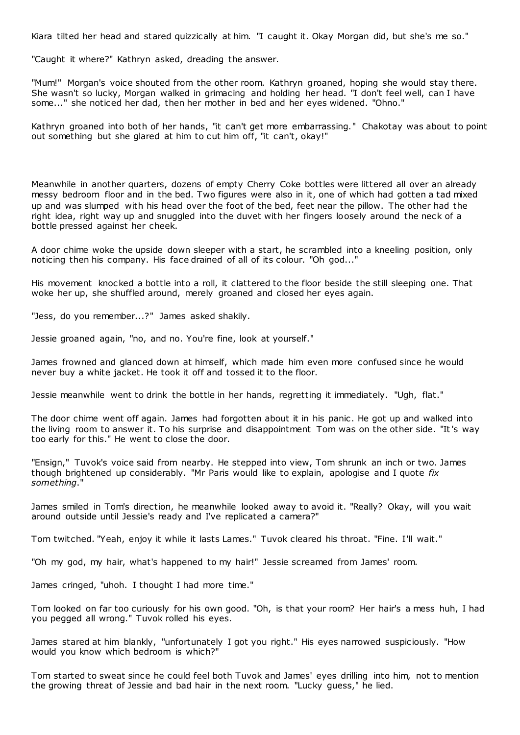Kiara tilted her head and stared quizzically at him. "I caught it. Okay Morgan did, but she's me so."

"Caught it where?" Kathryn asked, dreading the answer.

"Mum!" Morgan's voice shouted from the other room. Kathryn groaned, hoping she would stay there. She wasn't so lucky, Morgan walked in grimacing and holding her head. "I don't feel well, can I have some..." she noticed her dad, then her mother in bed and her eyes widened. "Ohno."

Kathryn groaned into both of her hands, "it can't get more embarrassing." Chakotay was about to point out something but she glared at him to cut him off, "it can't, okay!"

Meanwhile in another quarters, dozens of empty Cherry Coke bottles were littered all over an already messy bedroom floor and in the bed. Two figures were also in it, one of which had gotten a tad mixed up and was slumped with his head over the foot of the bed, feet near the pillow. The other had the right idea, right way up and snuggled into the duvet with her fingers loosely around the neck of a bottle pressed against her cheek.

A door chime woke the upside down sleeper with a start, he scrambled into a kneeling position, only noticing then his company. His face drained of all of its colour. "Oh god..."

His movement knocked a bottle into a roll, it clattered to the floor beside the still sleeping one. That woke her up, she shuffled around, merely groaned and closed her eyes again.

"Jess, do you remember...?" James asked shakily.

Jessie groaned again, "no, and no. You're fine, look at yourself."

James frowned and glanced down at himself, which made him even more confused since he would never buy a white jacket. He took it off and tossed it to the floor.

Jessie meanwhile went to drink the bottle in her hands, regretting it immediately. "Ugh, flat."

The door chime went off again. James had forgotten about it in his panic . He got up and walked into the living room to answer it. To his surprise and disappointment Tom was on the other side. "It's way too early for this." He went to close the door.

"Ensign," Tuvok's voice said from nearby. He stepped into view, Tom shrunk an inch or two. James though brightened up considerably. "Mr Paris would like to explain, apologise and I quote *fix something*."

James smiled in Tom's direction, he meanwhile looked away to avoid it. "Really? Okay, will you wait around outside until Jessie's ready and I've replicated a camera?"

Tom twitched. "Yeah, enjoy it while it lasts Lames." Tuvok cleared his throat. "Fine. I'll wait."

"Oh my god, my hair, what's happened to my hair!" Jessie screamed from James' room.

James cringed, "uhoh. I thought I had more time."

Tom looked on far too curiously for his own good. "Oh, is that your room? Her hair's a mess huh, I had you pegged all wrong." Tuvok rolled his eyes.

James stared at him blankly, "unfortunately I got you right." His eyes narrowed suspiciously. "How would you know which bedroom is which?"

Tom started to sweat since he could feel both Tuvok and James' eyes drilling into him, not to mention the growing threat of Jessie and bad hair in the next room. "Lucky guess," he lied.